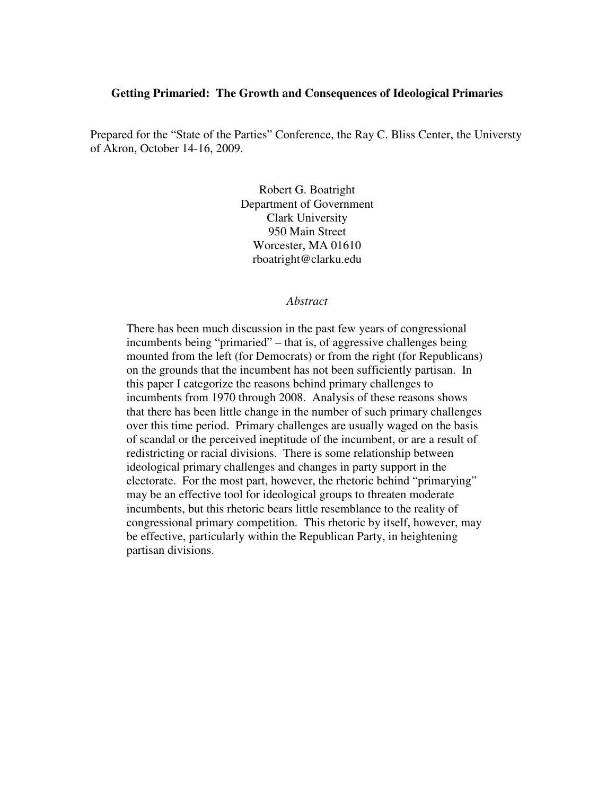## **Getting Primaried: The Growth and Consequences of Ideological Primaries**

Prepared for the "State of the Parties" Conference, the Ray C. Bliss Center, the Universty of Akron, October 14-16, 2009.

> Robert G. Boatright Department of Government Clark University 950 Main Street Worcester, MA 01610 rboatright@clarku.edu

#### *Abstract*

There has been much discussion in the past few years of congressional incumbents being "primaried" – that is, of aggressive challenges being mounted from the left (for Democrats) or from the right (for Republicans) on the grounds that the incumbent has not been sufficiently partisan. In this paper I categorize the reasons behind primary challenges to incumbents from 1970 through 2008. Analysis of these reasons shows that there has been little change in the number of such primary challenges over this time period. Primary challenges are usually waged on the basis of scandal or the perceived ineptitude of the incumbent, or are a result of redistricting or racial divisions. There is some relationship between ideological primary challenges and changes in party support in the electorate. For the most part, however, the rhetoric behind "primarying" may be an effective tool for ideological groups to threaten moderate incumbents, but this rhetoric bears little resemblance to the reality of congressional primary competition. This rhetoric by itself, however, may be effective, particularly within the Republican Party, in heightening partisan divisions.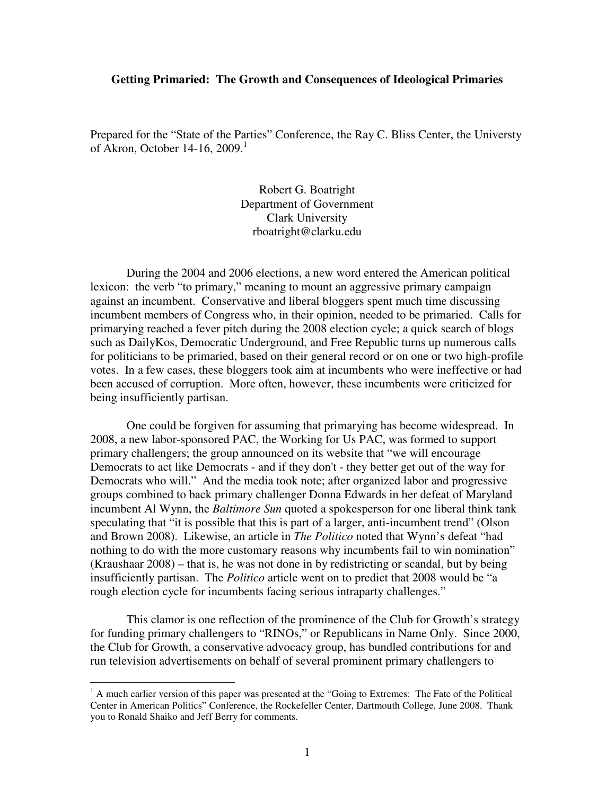## **Getting Primaried: The Growth and Consequences of Ideological Primaries**

Prepared for the "State of the Parties" Conference, the Ray C. Bliss Center, the Universty of Akron, October 14-16,  $2009<sup>1</sup>$ 

> Robert G. Boatright Department of Government Clark University rboatright@clarku.edu

During the 2004 and 2006 elections, a new word entered the American political lexicon: the verb "to primary," meaning to mount an aggressive primary campaign against an incumbent. Conservative and liberal bloggers spent much time discussing incumbent members of Congress who, in their opinion, needed to be primaried. Calls for primarying reached a fever pitch during the 2008 election cycle; a quick search of blogs such as DailyKos, Democratic Underground, and Free Republic turns up numerous calls for politicians to be primaried, based on their general record or on one or two high-profile votes. In a few cases, these bloggers took aim at incumbents who were ineffective or had been accused of corruption. More often, however, these incumbents were criticized for being insufficiently partisan.

One could be forgiven for assuming that primarying has become widespread. In 2008, a new labor-sponsored PAC, the Working for Us PAC, was formed to support primary challengers; the group announced on its website that "we will encourage Democrats to act like Democrats - and if they don't - they better get out of the way for Democrats who will." And the media took note; after organized labor and progressive groups combined to back primary challenger Donna Edwards in her defeat of Maryland incumbent Al Wynn, the *Baltimore Sun* quoted a spokesperson for one liberal think tank speculating that "it is possible that this is part of a larger, anti-incumbent trend" (Olson and Brown 2008). Likewise, an article in *The Politico* noted that Wynn's defeat "had nothing to do with the more customary reasons why incumbents fail to win nomination" (Kraushaar 2008) – that is, he was not done in by redistricting or scandal, but by being insufficiently partisan. The *Politico* article went on to predict that 2008 would be "a rough election cycle for incumbents facing serious intraparty challenges."

 This clamor is one reflection of the prominence of the Club for Growth's strategy for funding primary challengers to "RINOs," or Republicans in Name Only. Since 2000, the Club for Growth, a conservative advocacy group, has bundled contributions for and run television advertisements on behalf of several prominent primary challengers to

<sup>&</sup>lt;sup>1</sup> A much earlier version of this paper was presented at the "Going to Extremes: The Fate of the Political Center in American Politics" Conference, the Rockefeller Center, Dartmouth College, June 2008. Thank you to Ronald Shaiko and Jeff Berry for comments.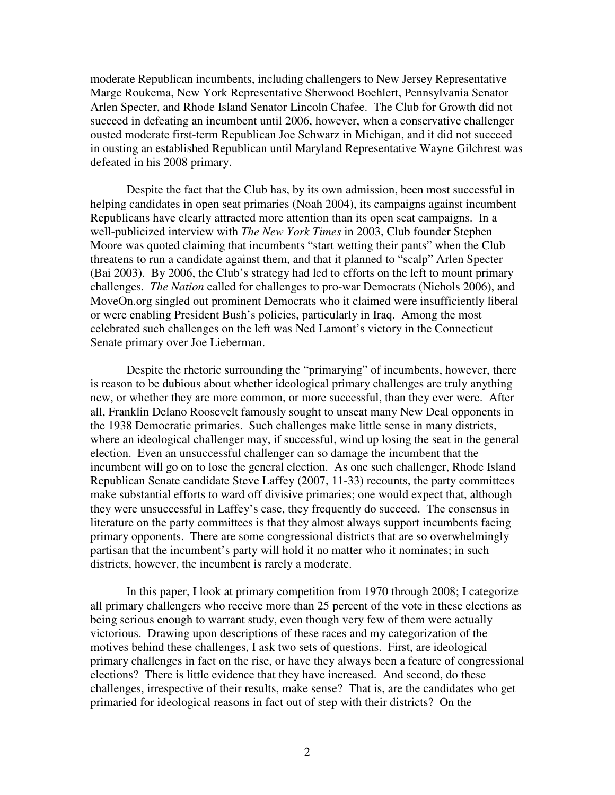moderate Republican incumbents, including challengers to New Jersey Representative Marge Roukema, New York Representative Sherwood Boehlert, Pennsylvania Senator Arlen Specter, and Rhode Island Senator Lincoln Chafee. The Club for Growth did not succeed in defeating an incumbent until 2006, however, when a conservative challenger ousted moderate first-term Republican Joe Schwarz in Michigan, and it did not succeed in ousting an established Republican until Maryland Representative Wayne Gilchrest was defeated in his 2008 primary.

Despite the fact that the Club has, by its own admission, been most successful in helping candidates in open seat primaries (Noah 2004), its campaigns against incumbent Republicans have clearly attracted more attention than its open seat campaigns. In a well-publicized interview with *The New York Times* in 2003, Club founder Stephen Moore was quoted claiming that incumbents "start wetting their pants" when the Club threatens to run a candidate against them, and that it planned to "scalp" Arlen Specter (Bai 2003). By 2006, the Club's strategy had led to efforts on the left to mount primary challenges. *The Nation* called for challenges to pro-war Democrats (Nichols 2006), and MoveOn.org singled out prominent Democrats who it claimed were insufficiently liberal or were enabling President Bush's policies, particularly in Iraq. Among the most celebrated such challenges on the left was Ned Lamont's victory in the Connecticut Senate primary over Joe Lieberman.

Despite the rhetoric surrounding the "primarying" of incumbents, however, there is reason to be dubious about whether ideological primary challenges are truly anything new, or whether they are more common, or more successful, than they ever were. After all, Franklin Delano Roosevelt famously sought to unseat many New Deal opponents in the 1938 Democratic primaries. Such challenges make little sense in many districts, where an ideological challenger may, if successful, wind up losing the seat in the general election. Even an unsuccessful challenger can so damage the incumbent that the incumbent will go on to lose the general election. As one such challenger, Rhode Island Republican Senate candidate Steve Laffey (2007, 11-33) recounts, the party committees make substantial efforts to ward off divisive primaries; one would expect that, although they were unsuccessful in Laffey's case, they frequently do succeed. The consensus in literature on the party committees is that they almost always support incumbents facing primary opponents. There are some congressional districts that are so overwhelmingly partisan that the incumbent's party will hold it no matter who it nominates; in such districts, however, the incumbent is rarely a moderate.

In this paper, I look at primary competition from 1970 through 2008; I categorize all primary challengers who receive more than 25 percent of the vote in these elections as being serious enough to warrant study, even though very few of them were actually victorious. Drawing upon descriptions of these races and my categorization of the motives behind these challenges, I ask two sets of questions. First, are ideological primary challenges in fact on the rise, or have they always been a feature of congressional elections? There is little evidence that they have increased. And second, do these challenges, irrespective of their results, make sense? That is, are the candidates who get primaried for ideological reasons in fact out of step with their districts? On the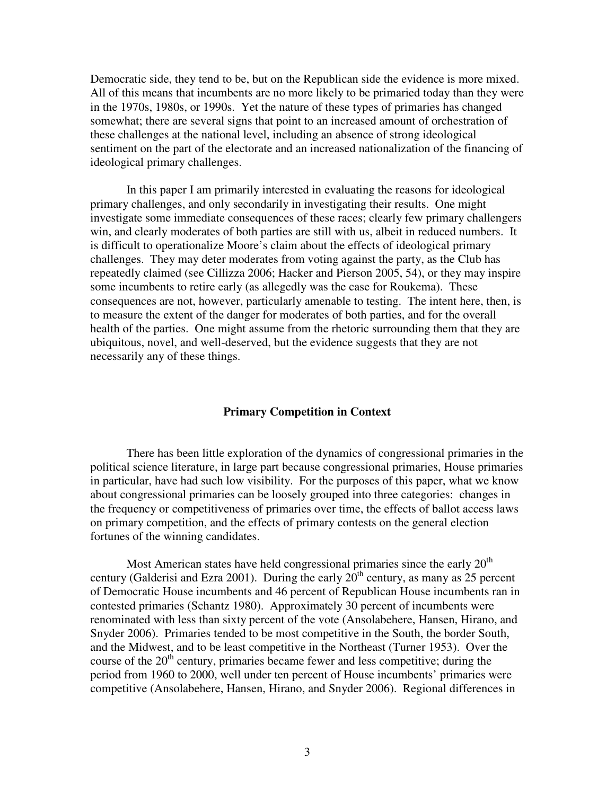Democratic side, they tend to be, but on the Republican side the evidence is more mixed. All of this means that incumbents are no more likely to be primaried today than they were in the 1970s, 1980s, or 1990s. Yet the nature of these types of primaries has changed somewhat; there are several signs that point to an increased amount of orchestration of these challenges at the national level, including an absence of strong ideological sentiment on the part of the electorate and an increased nationalization of the financing of ideological primary challenges.

In this paper I am primarily interested in evaluating the reasons for ideological primary challenges, and only secondarily in investigating their results. One might investigate some immediate consequences of these races; clearly few primary challengers win, and clearly moderates of both parties are still with us, albeit in reduced numbers. It is difficult to operationalize Moore's claim about the effects of ideological primary challenges. They may deter moderates from voting against the party, as the Club has repeatedly claimed (see Cillizza 2006; Hacker and Pierson 2005, 54), or they may inspire some incumbents to retire early (as allegedly was the case for Roukema). These consequences are not, however, particularly amenable to testing. The intent here, then, is to measure the extent of the danger for moderates of both parties, and for the overall health of the parties. One might assume from the rhetoric surrounding them that they are ubiquitous, novel, and well-deserved, but the evidence suggests that they are not necessarily any of these things.

## **Primary Competition in Context**

 There has been little exploration of the dynamics of congressional primaries in the political science literature, in large part because congressional primaries, House primaries in particular, have had such low visibility. For the purposes of this paper, what we know about congressional primaries can be loosely grouped into three categories: changes in the frequency or competitiveness of primaries over time, the effects of ballot access laws on primary competition, and the effects of primary contests on the general election fortunes of the winning candidates.

Most American states have held congressional primaries since the early  $20<sup>th</sup>$ century (Galderisi and Ezra 2001). During the early  $20<sup>th</sup>$  century, as many as 25 percent of Democratic House incumbents and 46 percent of Republican House incumbents ran in contested primaries (Schantz 1980). Approximately 30 percent of incumbents were renominated with less than sixty percent of the vote (Ansolabehere, Hansen, Hirano, and Snyder 2006). Primaries tended to be most competitive in the South, the border South, and the Midwest, and to be least competitive in the Northeast (Turner 1953). Over the course of the  $20<sup>th</sup>$  century, primaries became fewer and less competitive; during the period from 1960 to 2000, well under ten percent of House incumbents' primaries were competitive (Ansolabehere, Hansen, Hirano, and Snyder 2006). Regional differences in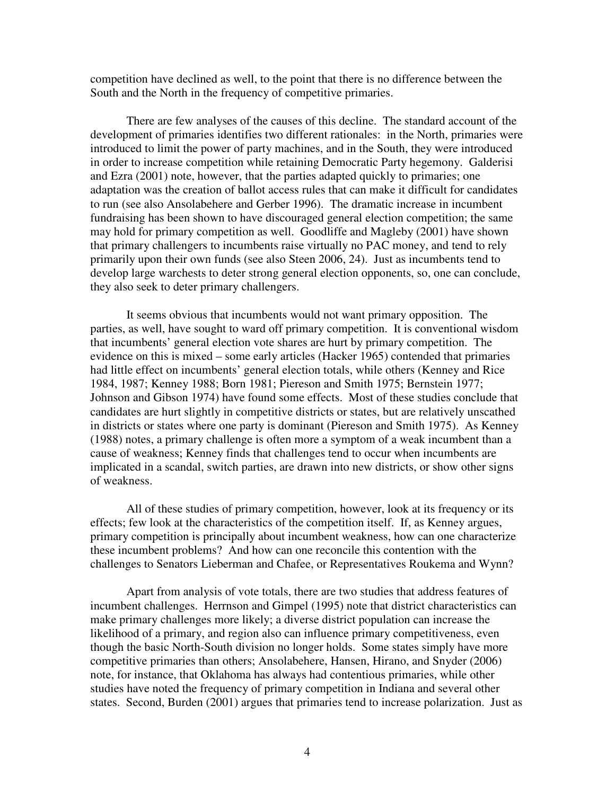competition have declined as well, to the point that there is no difference between the South and the North in the frequency of competitive primaries.

 There are few analyses of the causes of this decline. The standard account of the development of primaries identifies two different rationales: in the North, primaries were introduced to limit the power of party machines, and in the South, they were introduced in order to increase competition while retaining Democratic Party hegemony. Galderisi and Ezra (2001) note, however, that the parties adapted quickly to primaries; one adaptation was the creation of ballot access rules that can make it difficult for candidates to run (see also Ansolabehere and Gerber 1996). The dramatic increase in incumbent fundraising has been shown to have discouraged general election competition; the same may hold for primary competition as well. Goodliffe and Magleby (2001) have shown that primary challengers to incumbents raise virtually no PAC money, and tend to rely primarily upon their own funds (see also Steen 2006, 24). Just as incumbents tend to develop large warchests to deter strong general election opponents, so, one can conclude, they also seek to deter primary challengers.

 It seems obvious that incumbents would not want primary opposition. The parties, as well, have sought to ward off primary competition. It is conventional wisdom that incumbents' general election vote shares are hurt by primary competition. The evidence on this is mixed – some early articles (Hacker 1965) contended that primaries had little effect on incumbents' general election totals, while others (Kenney and Rice 1984, 1987; Kenney 1988; Born 1981; Piereson and Smith 1975; Bernstein 1977; Johnson and Gibson 1974) have found some effects. Most of these studies conclude that candidates are hurt slightly in competitive districts or states, but are relatively unscathed in districts or states where one party is dominant (Piereson and Smith 1975). As Kenney (1988) notes, a primary challenge is often more a symptom of a weak incumbent than a cause of weakness; Kenney finds that challenges tend to occur when incumbents are implicated in a scandal, switch parties, are drawn into new districts, or show other signs of weakness.

 All of these studies of primary competition, however, look at its frequency or its effects; few look at the characteristics of the competition itself. If, as Kenney argues, primary competition is principally about incumbent weakness, how can one characterize these incumbent problems? And how can one reconcile this contention with the challenges to Senators Lieberman and Chafee, or Representatives Roukema and Wynn?

 Apart from analysis of vote totals, there are two studies that address features of incumbent challenges. Herrnson and Gimpel (1995) note that district characteristics can make primary challenges more likely; a diverse district population can increase the likelihood of a primary, and region also can influence primary competitiveness, even though the basic North-South division no longer holds. Some states simply have more competitive primaries than others; Ansolabehere, Hansen, Hirano, and Snyder (2006) note, for instance, that Oklahoma has always had contentious primaries, while other studies have noted the frequency of primary competition in Indiana and several other states. Second, Burden (2001) argues that primaries tend to increase polarization. Just as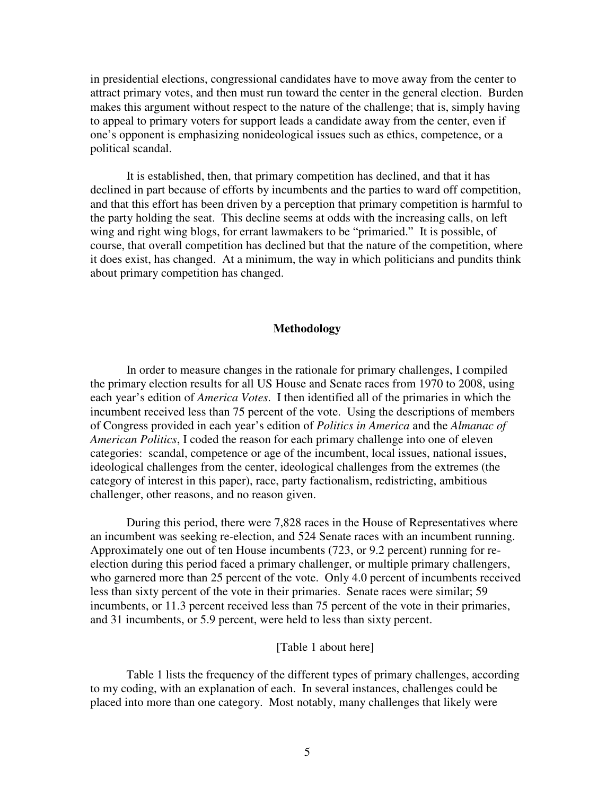in presidential elections, congressional candidates have to move away from the center to attract primary votes, and then must run toward the center in the general election. Burden makes this argument without respect to the nature of the challenge; that is, simply having to appeal to primary voters for support leads a candidate away from the center, even if one's opponent is emphasizing nonideological issues such as ethics, competence, or a political scandal.

 It is established, then, that primary competition has declined, and that it has declined in part because of efforts by incumbents and the parties to ward off competition, and that this effort has been driven by a perception that primary competition is harmful to the party holding the seat. This decline seems at odds with the increasing calls, on left wing and right wing blogs, for errant lawmakers to be "primaried." It is possible, of course, that overall competition has declined but that the nature of the competition, where it does exist, has changed. At a minimum, the way in which politicians and pundits think about primary competition has changed.

## **Methodology**

In order to measure changes in the rationale for primary challenges, I compiled the primary election results for all US House and Senate races from 1970 to 2008, using each year's edition of *America Votes*. I then identified all of the primaries in which the incumbent received less than 75 percent of the vote. Using the descriptions of members of Congress provided in each year's edition of *Politics in America* and the *Almanac of American Politics*, I coded the reason for each primary challenge into one of eleven categories: scandal, competence or age of the incumbent, local issues, national issues, ideological challenges from the center, ideological challenges from the extremes (the category of interest in this paper), race, party factionalism, redistricting, ambitious challenger, other reasons, and no reason given.

During this period, there were 7,828 races in the House of Representatives where an incumbent was seeking re-election, and 524 Senate races with an incumbent running. Approximately one out of ten House incumbents (723, or 9.2 percent) running for reelection during this period faced a primary challenger, or multiple primary challengers, who garnered more than 25 percent of the vote. Only 4.0 percent of incumbents received less than sixty percent of the vote in their primaries. Senate races were similar; 59 incumbents, or 11.3 percent received less than 75 percent of the vote in their primaries, and 31 incumbents, or 5.9 percent, were held to less than sixty percent.

#### [Table 1 about here]

 Table 1 lists the frequency of the different types of primary challenges, according to my coding, with an explanation of each. In several instances, challenges could be placed into more than one category. Most notably, many challenges that likely were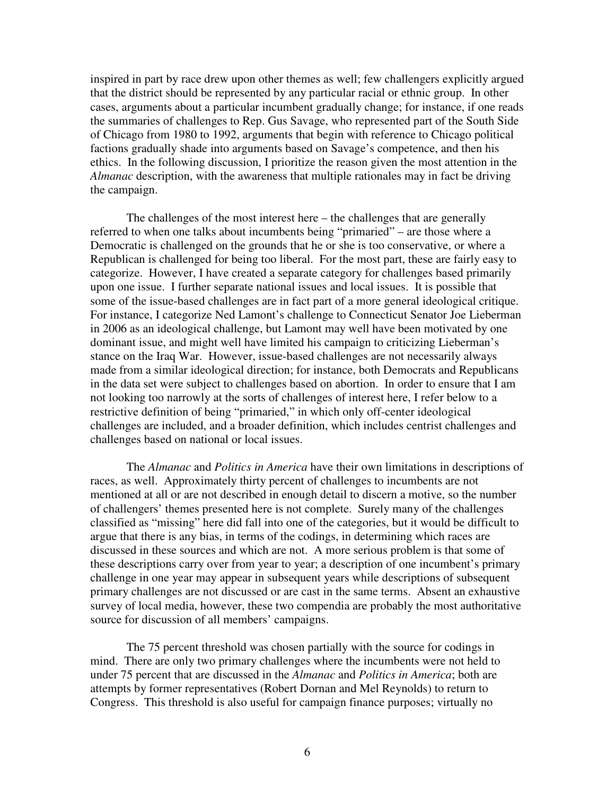inspired in part by race drew upon other themes as well; few challengers explicitly argued that the district should be represented by any particular racial or ethnic group. In other cases, arguments about a particular incumbent gradually change; for instance, if one reads the summaries of challenges to Rep. Gus Savage, who represented part of the South Side of Chicago from 1980 to 1992, arguments that begin with reference to Chicago political factions gradually shade into arguments based on Savage's competence, and then his ethics. In the following discussion, I prioritize the reason given the most attention in the *Almanac* description, with the awareness that multiple rationales may in fact be driving the campaign.

 The challenges of the most interest here – the challenges that are generally referred to when one talks about incumbents being "primaried" – are those where a Democratic is challenged on the grounds that he or she is too conservative, or where a Republican is challenged for being too liberal. For the most part, these are fairly easy to categorize. However, I have created a separate category for challenges based primarily upon one issue. I further separate national issues and local issues. It is possible that some of the issue-based challenges are in fact part of a more general ideological critique. For instance, I categorize Ned Lamont's challenge to Connecticut Senator Joe Lieberman in 2006 as an ideological challenge, but Lamont may well have been motivated by one dominant issue, and might well have limited his campaign to criticizing Lieberman's stance on the Iraq War. However, issue-based challenges are not necessarily always made from a similar ideological direction; for instance, both Democrats and Republicans in the data set were subject to challenges based on abortion. In order to ensure that I am not looking too narrowly at the sorts of challenges of interest here, I refer below to a restrictive definition of being "primaried," in which only off-center ideological challenges are included, and a broader definition, which includes centrist challenges and challenges based on national or local issues.

 The *Almanac* and *Politics in America* have their own limitations in descriptions of races, as well. Approximately thirty percent of challenges to incumbents are not mentioned at all or are not described in enough detail to discern a motive, so the number of challengers' themes presented here is not complete. Surely many of the challenges classified as "missing" here did fall into one of the categories, but it would be difficult to argue that there is any bias, in terms of the codings, in determining which races are discussed in these sources and which are not. A more serious problem is that some of these descriptions carry over from year to year; a description of one incumbent's primary challenge in one year may appear in subsequent years while descriptions of subsequent primary challenges are not discussed or are cast in the same terms. Absent an exhaustive survey of local media, however, these two compendia are probably the most authoritative source for discussion of all members' campaigns.

 The 75 percent threshold was chosen partially with the source for codings in mind. There are only two primary challenges where the incumbents were not held to under 75 percent that are discussed in the *Almanac* and *Politics in America*; both are attempts by former representatives (Robert Dornan and Mel Reynolds) to return to Congress. This threshold is also useful for campaign finance purposes; virtually no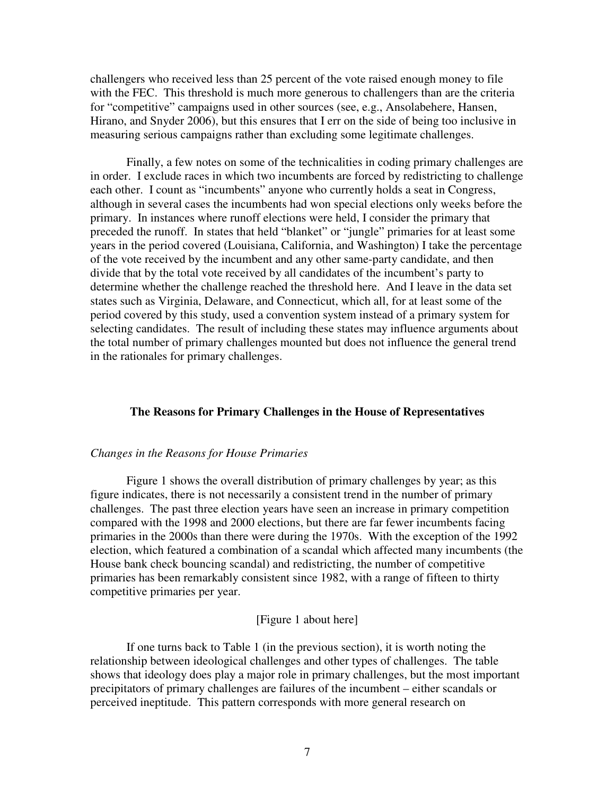challengers who received less than 25 percent of the vote raised enough money to file with the FEC. This threshold is much more generous to challengers than are the criteria for "competitive" campaigns used in other sources (see, e.g., Ansolabehere, Hansen, Hirano, and Snyder 2006), but this ensures that I err on the side of being too inclusive in measuring serious campaigns rather than excluding some legitimate challenges.

 Finally, a few notes on some of the technicalities in coding primary challenges are in order. I exclude races in which two incumbents are forced by redistricting to challenge each other. I count as "incumbents" anyone who currently holds a seat in Congress, although in several cases the incumbents had won special elections only weeks before the primary. In instances where runoff elections were held, I consider the primary that preceded the runoff. In states that held "blanket" or "jungle" primaries for at least some years in the period covered (Louisiana, California, and Washington) I take the percentage of the vote received by the incumbent and any other same-party candidate, and then divide that by the total vote received by all candidates of the incumbent's party to determine whether the challenge reached the threshold here. And I leave in the data set states such as Virginia, Delaware, and Connecticut, which all, for at least some of the period covered by this study, used a convention system instead of a primary system for selecting candidates. The result of including these states may influence arguments about the total number of primary challenges mounted but does not influence the general trend in the rationales for primary challenges.

## **The Reasons for Primary Challenges in the House of Representatives**

## *Changes in the Reasons for House Primaries*

 Figure 1 shows the overall distribution of primary challenges by year; as this figure indicates, there is not necessarily a consistent trend in the number of primary challenges. The past three election years have seen an increase in primary competition compared with the 1998 and 2000 elections, but there are far fewer incumbents facing primaries in the 2000s than there were during the 1970s. With the exception of the 1992 election, which featured a combination of a scandal which affected many incumbents (the House bank check bouncing scandal) and redistricting, the number of competitive primaries has been remarkably consistent since 1982, with a range of fifteen to thirty competitive primaries per year.

### [Figure 1 about here]

If one turns back to Table 1 (in the previous section), it is worth noting the relationship between ideological challenges and other types of challenges. The table shows that ideology does play a major role in primary challenges, but the most important precipitators of primary challenges are failures of the incumbent – either scandals or perceived ineptitude. This pattern corresponds with more general research on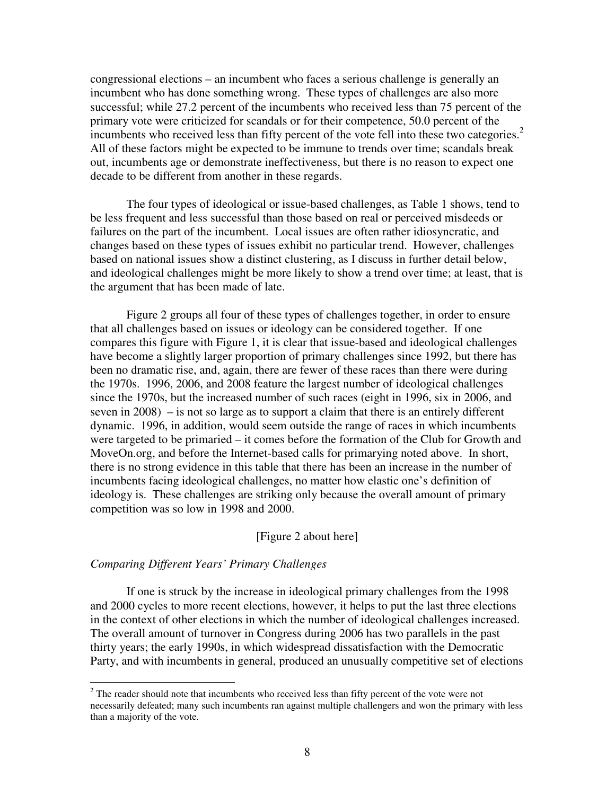congressional elections – an incumbent who faces a serious challenge is generally an incumbent who has done something wrong. These types of challenges are also more successful; while 27.2 percent of the incumbents who received less than 75 percent of the primary vote were criticized for scandals or for their competence, 50.0 percent of the incumbents who received less than fifty percent of the vote fell into these two categories.<sup>2</sup> All of these factors might be expected to be immune to trends over time; scandals break out, incumbents age or demonstrate ineffectiveness, but there is no reason to expect one decade to be different from another in these regards.

 The four types of ideological or issue-based challenges, as Table 1 shows, tend to be less frequent and less successful than those based on real or perceived misdeeds or failures on the part of the incumbent. Local issues are often rather idiosyncratic, and changes based on these types of issues exhibit no particular trend. However, challenges based on national issues show a distinct clustering, as I discuss in further detail below, and ideological challenges might be more likely to show a trend over time; at least, that is the argument that has been made of late.

 Figure 2 groups all four of these types of challenges together, in order to ensure that all challenges based on issues or ideology can be considered together. If one compares this figure with Figure 1, it is clear that issue-based and ideological challenges have become a slightly larger proportion of primary challenges since 1992, but there has been no dramatic rise, and, again, there are fewer of these races than there were during the 1970s. 1996, 2006, and 2008 feature the largest number of ideological challenges since the 1970s, but the increased number of such races (eight in 1996, six in 2006, and seven in 2008) – is not so large as to support a claim that there is an entirely different dynamic. 1996, in addition, would seem outside the range of races in which incumbents were targeted to be primaried – it comes before the formation of the Club for Growth and MoveOn.org, and before the Internet-based calls for primarying noted above. In short, there is no strong evidence in this table that there has been an increase in the number of incumbents facing ideological challenges, no matter how elastic one's definition of ideology is. These challenges are striking only because the overall amount of primary competition was so low in 1998 and 2000.

## [Figure 2 about here]

# *Comparing Different Years' Primary Challenges*

 If one is struck by the increase in ideological primary challenges from the 1998 and 2000 cycles to more recent elections, however, it helps to put the last three elections in the context of other elections in which the number of ideological challenges increased. The overall amount of turnover in Congress during 2006 has two parallels in the past thirty years; the early 1990s, in which widespread dissatisfaction with the Democratic Party, and with incumbents in general, produced an unusually competitive set of elections

<sup>&</sup>lt;sup>2</sup> The reader should note that incumbents who received less than fifty percent of the vote were not necessarily defeated; many such incumbents ran against multiple challengers and won the primary with less than a majority of the vote.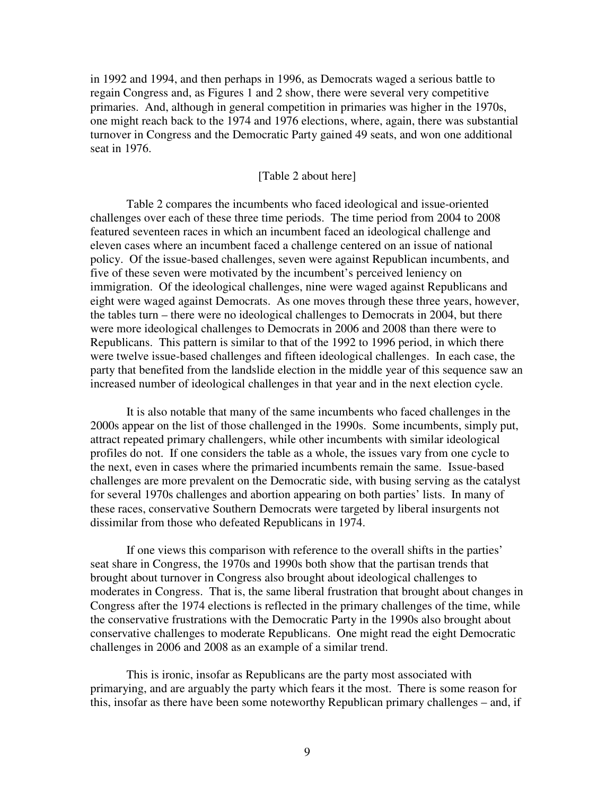in 1992 and 1994, and then perhaps in 1996, as Democrats waged a serious battle to regain Congress and, as Figures 1 and 2 show, there were several very competitive primaries. And, although in general competition in primaries was higher in the 1970s, one might reach back to the 1974 and 1976 elections, where, again, there was substantial turnover in Congress and the Democratic Party gained 49 seats, and won one additional seat in 1976.

## [Table 2 about here]

 Table 2 compares the incumbents who faced ideological and issue-oriented challenges over each of these three time periods. The time period from 2004 to 2008 featured seventeen races in which an incumbent faced an ideological challenge and eleven cases where an incumbent faced a challenge centered on an issue of national policy. Of the issue-based challenges, seven were against Republican incumbents, and five of these seven were motivated by the incumbent's perceived leniency on immigration. Of the ideological challenges, nine were waged against Republicans and eight were waged against Democrats. As one moves through these three years, however, the tables turn – there were no ideological challenges to Democrats in 2004, but there were more ideological challenges to Democrats in 2006 and 2008 than there were to Republicans. This pattern is similar to that of the 1992 to 1996 period, in which there were twelve issue-based challenges and fifteen ideological challenges. In each case, the party that benefited from the landslide election in the middle year of this sequence saw an increased number of ideological challenges in that year and in the next election cycle.

It is also notable that many of the same incumbents who faced challenges in the 2000s appear on the list of those challenged in the 1990s. Some incumbents, simply put, attract repeated primary challengers, while other incumbents with similar ideological profiles do not. If one considers the table as a whole, the issues vary from one cycle to the next, even in cases where the primaried incumbents remain the same. Issue-based challenges are more prevalent on the Democratic side, with busing serving as the catalyst for several 1970s challenges and abortion appearing on both parties' lists. In many of these races, conservative Southern Democrats were targeted by liberal insurgents not dissimilar from those who defeated Republicans in 1974.

 If one views this comparison with reference to the overall shifts in the parties' seat share in Congress, the 1970s and 1990s both show that the partisan trends that brought about turnover in Congress also brought about ideological challenges to moderates in Congress. That is, the same liberal frustration that brought about changes in Congress after the 1974 elections is reflected in the primary challenges of the time, while the conservative frustrations with the Democratic Party in the 1990s also brought about conservative challenges to moderate Republicans. One might read the eight Democratic challenges in 2006 and 2008 as an example of a similar trend.

This is ironic, insofar as Republicans are the party most associated with primarying, and are arguably the party which fears it the most. There is some reason for this, insofar as there have been some noteworthy Republican primary challenges – and, if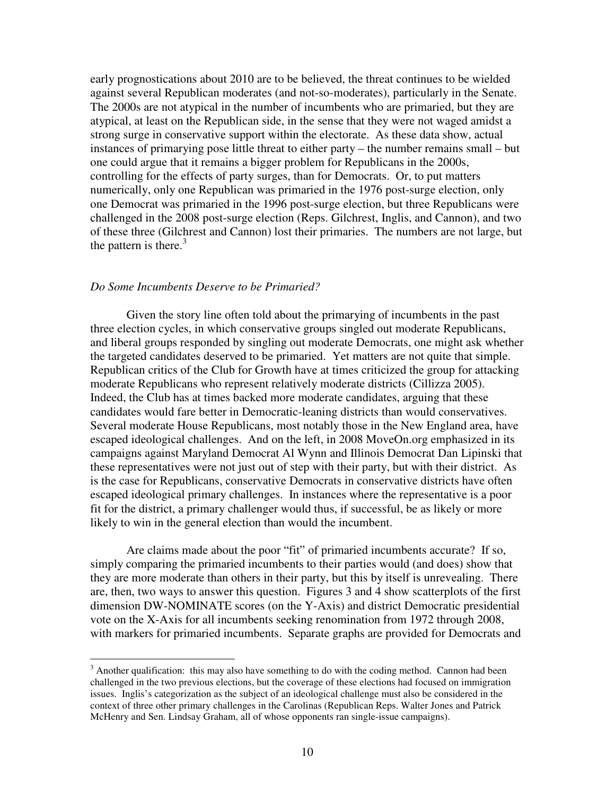early prognostications about 2010 are to be believed, the threat continues to be wielded against several Republican moderates (and not-so-moderates), particularly in the Senate. The 2000s are not atypical in the number of incumbents who are primaried, but they are atypical, at least on the Republican side, in the sense that they were not waged amidst a strong surge in conservative support within the electorate. As these data show, actual instances of primarying pose little threat to either party – the number remains small – but one could argue that it remains a bigger problem for Republicans in the 2000s, controlling for the effects of party surges, than for Democrats. Or, to put matters numerically, only one Republican was primaried in the 1976 post-surge election, only one Democrat was primaried in the 1996 post-surge election, but three Republicans were challenged in the 2008 post-surge election (Reps. Gilchrest, Inglis, and Cannon), and two of these three (Gilchrest and Cannon) lost their primaries. The numbers are not large, but the pattern is there.<sup>3</sup>

#### *Do Some Incumbents Deserve to be Primaried?*

 Given the story line often told about the primarying of incumbents in the past three election cycles, in which conservative groups singled out moderate Republicans, and liberal groups responded by singling out moderate Democrats, one might ask whether the targeted candidates deserved to be primaried. Yet matters are not quite that simple. Republican critics of the Club for Growth have at times criticized the group for attacking moderate Republicans who represent relatively moderate districts (Cillizza 2005). Indeed, the Club has at times backed more moderate candidates, arguing that these candidates would fare better in Democratic-leaning districts than would conservatives. Several moderate House Republicans, most notably those in the New England area, have escaped ideological challenges. And on the left, in 2008 MoveOn.org emphasized in its campaigns against Maryland Democrat Al Wynn and Illinois Democrat Dan Lipinski that these representatives were not just out of step with their party, but with their district. As is the case for Republicans, conservative Democrats in conservative districts have often escaped ideological primary challenges. In instances where the representative is a poor fit for the district, a primary challenger would thus, if successful, be as likely or more likely to win in the general election than would the incumbent.

 Are claims made about the poor "fit" of primaried incumbents accurate? If so, simply comparing the primaried incumbents to their parties would (and does) show that they are more moderate than others in their party, but this by itself is unrevealing. There are, then, two ways to answer this question. Figures 3 and 4 show scatterplots of the first dimension DW-NOMINATE scores (on the Y-Axis) and district Democratic presidential vote on the X-Axis for all incumbents seeking renomination from 1972 through 2008, with markers for primaried incumbents. Separate graphs are provided for Democrats and

<sup>&</sup>lt;sup>3</sup> Another qualification: this may also have something to do with the coding method. Cannon had been challenged in the two previous elections, but the coverage of these elections had focused on immigration issues. Inglis's categorization as the subject of an ideological challenge must also be considered in the context of three other primary challenges in the Carolinas (Republican Reps. Walter Jones and Patrick McHenry and Sen. Lindsay Graham, all of whose opponents ran single-issue campaigns).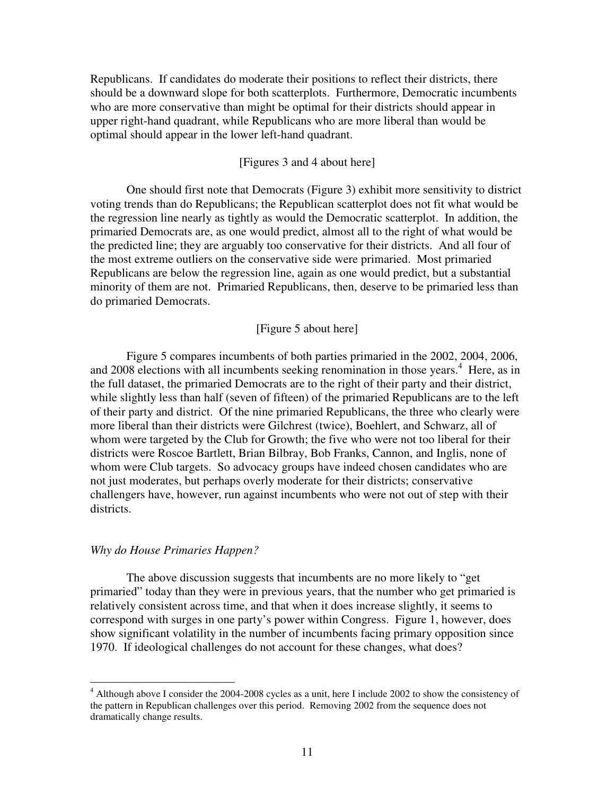Republicans. If candidates do moderate their positions to reflect their districts, there should be a downward slope for both scatterplots. Furthermore, Democratic incumbents who are more conservative than might be optimal for their districts should appear in upper right-hand quadrant, while Republicans who are more liberal than would be optimal should appear in the lower left-hand quadrant.

## [Figures 3 and 4 about here]

 One should first note that Democrats (Figure 3) exhibit more sensitivity to district voting trends than do Republicans; the Republican scatterplot does not fit what would be the regression line nearly as tightly as would the Democratic scatterplot. In addition, the primaried Democrats are, as one would predict, almost all to the right of what would be the predicted line; they are arguably too conservative for their districts. And all four of the most extreme outliers on the conservative side were primaried. Most primaried Republicans are below the regression line, again as one would predict, but a substantial minority of them are not. Primaried Republicans, then, deserve to be primaried less than do primaried Democrats.

#### [Figure 5 about here]

 Figure 5 compares incumbents of both parties primaried in the 2002, 2004, 2006, and 2008 elections with all incumbents seeking renomination in those years.<sup>4</sup> Here, as in the full dataset, the primaried Democrats are to the right of their party and their district, while slightly less than half (seven of fifteen) of the primaried Republicans are to the left of their party and district. Of the nine primaried Republicans, the three who clearly were more liberal than their districts were Gilchrest (twice), Boehlert, and Schwarz, all of whom were targeted by the Club for Growth; the five who were not too liberal for their districts were Roscoe Bartlett, Brian Bilbray, Bob Franks, Cannon, and Inglis, none of whom were Club targets. So advocacy groups have indeed chosen candidates who are not just moderates, but perhaps overly moderate for their districts; conservative challengers have, however, run against incumbents who were not out of step with their districts.

#### *Why do House Primaries Happen?*

 The above discussion suggests that incumbents are no more likely to "get primaried" today than they were in previous years, that the number who get primaried is relatively consistent across time, and that when it does increase slightly, it seems to correspond with surges in one party's power within Congress. Figure 1, however, does show significant volatility in the number of incumbents facing primary opposition since 1970. If ideological challenges do not account for these changes, what does?

 4 Although above I consider the 2004-2008 cycles as a unit, here I include 2002 to show the consistency of the pattern in Republican challenges over this period. Removing 2002 from the sequence does not dramatically change results.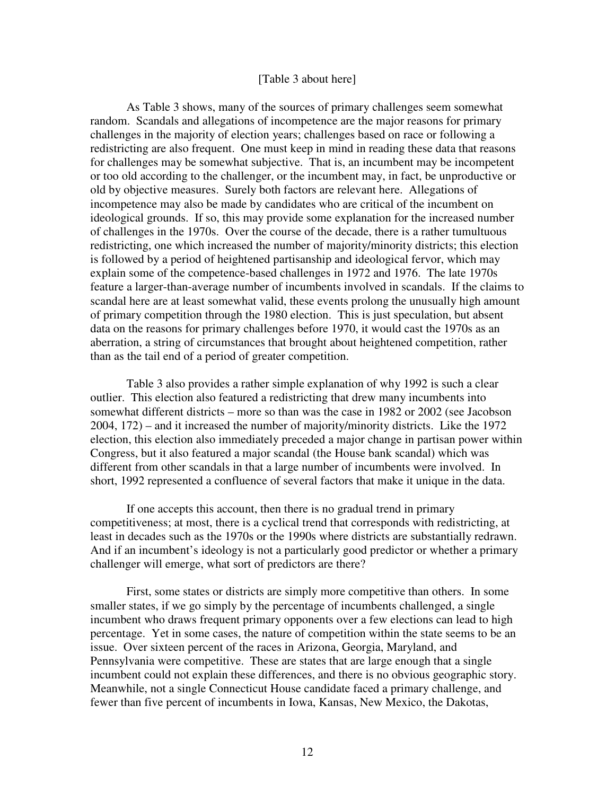#### [Table 3 about here]

 As Table 3 shows, many of the sources of primary challenges seem somewhat random. Scandals and allegations of incompetence are the major reasons for primary challenges in the majority of election years; challenges based on race or following a redistricting are also frequent. One must keep in mind in reading these data that reasons for challenges may be somewhat subjective. That is, an incumbent may be incompetent or too old according to the challenger, or the incumbent may, in fact, be unproductive or old by objective measures. Surely both factors are relevant here. Allegations of incompetence may also be made by candidates who are critical of the incumbent on ideological grounds. If so, this may provide some explanation for the increased number of challenges in the 1970s. Over the course of the decade, there is a rather tumultuous redistricting, one which increased the number of majority/minority districts; this election is followed by a period of heightened partisanship and ideological fervor, which may explain some of the competence-based challenges in 1972 and 1976. The late 1970s feature a larger-than-average number of incumbents involved in scandals. If the claims to scandal here are at least somewhat valid, these events prolong the unusually high amount of primary competition through the 1980 election. This is just speculation, but absent data on the reasons for primary challenges before 1970, it would cast the 1970s as an aberration, a string of circumstances that brought about heightened competition, rather than as the tail end of a period of greater competition.

 Table 3 also provides a rather simple explanation of why 1992 is such a clear outlier. This election also featured a redistricting that drew many incumbents into somewhat different districts – more so than was the case in 1982 or 2002 (see Jacobson 2004, 172) – and it increased the number of majority/minority districts. Like the 1972 election, this election also immediately preceded a major change in partisan power within Congress, but it also featured a major scandal (the House bank scandal) which was different from other scandals in that a large number of incumbents were involved. In short, 1992 represented a confluence of several factors that make it unique in the data.

 If one accepts this account, then there is no gradual trend in primary competitiveness; at most, there is a cyclical trend that corresponds with redistricting, at least in decades such as the 1970s or the 1990s where districts are substantially redrawn. And if an incumbent's ideology is not a particularly good predictor or whether a primary challenger will emerge, what sort of predictors are there?

 First, some states or districts are simply more competitive than others. In some smaller states, if we go simply by the percentage of incumbents challenged, a single incumbent who draws frequent primary opponents over a few elections can lead to high percentage. Yet in some cases, the nature of competition within the state seems to be an issue. Over sixteen percent of the races in Arizona, Georgia, Maryland, and Pennsylvania were competitive. These are states that are large enough that a single incumbent could not explain these differences, and there is no obvious geographic story. Meanwhile, not a single Connecticut House candidate faced a primary challenge, and fewer than five percent of incumbents in Iowa, Kansas, New Mexico, the Dakotas,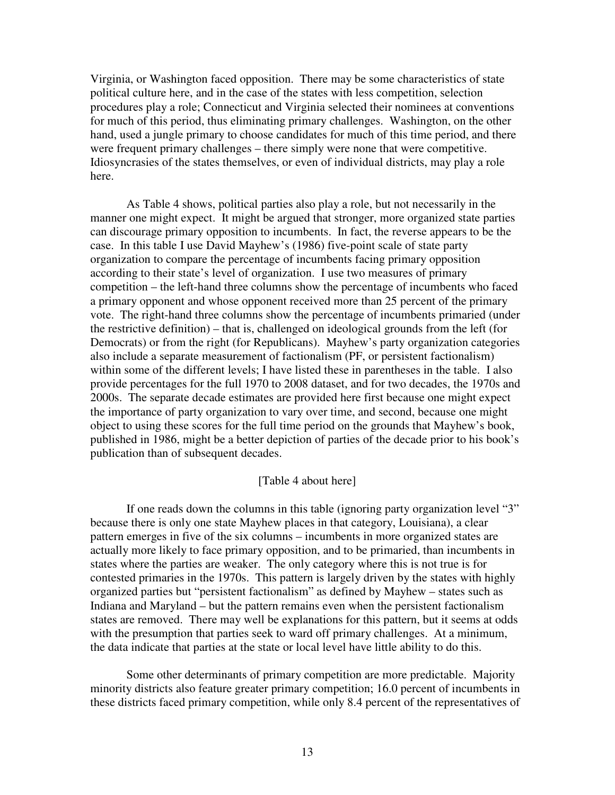Virginia, or Washington faced opposition. There may be some characteristics of state political culture here, and in the case of the states with less competition, selection procedures play a role; Connecticut and Virginia selected their nominees at conventions for much of this period, thus eliminating primary challenges. Washington, on the other hand, used a jungle primary to choose candidates for much of this time period, and there were frequent primary challenges – there simply were none that were competitive. Idiosyncrasies of the states themselves, or even of individual districts, may play a role here.

 As Table 4 shows, political parties also play a role, but not necessarily in the manner one might expect. It might be argued that stronger, more organized state parties can discourage primary opposition to incumbents. In fact, the reverse appears to be the case. In this table I use David Mayhew's (1986) five-point scale of state party organization to compare the percentage of incumbents facing primary opposition according to their state's level of organization. I use two measures of primary competition – the left-hand three columns show the percentage of incumbents who faced a primary opponent and whose opponent received more than 25 percent of the primary vote. The right-hand three columns show the percentage of incumbents primaried (under the restrictive definition) – that is, challenged on ideological grounds from the left (for Democrats) or from the right (for Republicans). Mayhew's party organization categories also include a separate measurement of factionalism (PF, or persistent factionalism) within some of the different levels; I have listed these in parentheses in the table. I also provide percentages for the full 1970 to 2008 dataset, and for two decades, the 1970s and 2000s. The separate decade estimates are provided here first because one might expect the importance of party organization to vary over time, and second, because one might object to using these scores for the full time period on the grounds that Mayhew's book, published in 1986, might be a better depiction of parties of the decade prior to his book's publication than of subsequent decades.

## [Table 4 about here]

 If one reads down the columns in this table (ignoring party organization level "3" because there is only one state Mayhew places in that category, Louisiana), a clear pattern emerges in five of the six columns – incumbents in more organized states are actually more likely to face primary opposition, and to be primaried, than incumbents in states where the parties are weaker. The only category where this is not true is for contested primaries in the 1970s. This pattern is largely driven by the states with highly organized parties but "persistent factionalism" as defined by Mayhew – states such as Indiana and Maryland – but the pattern remains even when the persistent factionalism states are removed. There may well be explanations for this pattern, but it seems at odds with the presumption that parties seek to ward off primary challenges. At a minimum, the data indicate that parties at the state or local level have little ability to do this.

 Some other determinants of primary competition are more predictable. Majority minority districts also feature greater primary competition; 16.0 percent of incumbents in these districts faced primary competition, while only 8.4 percent of the representatives of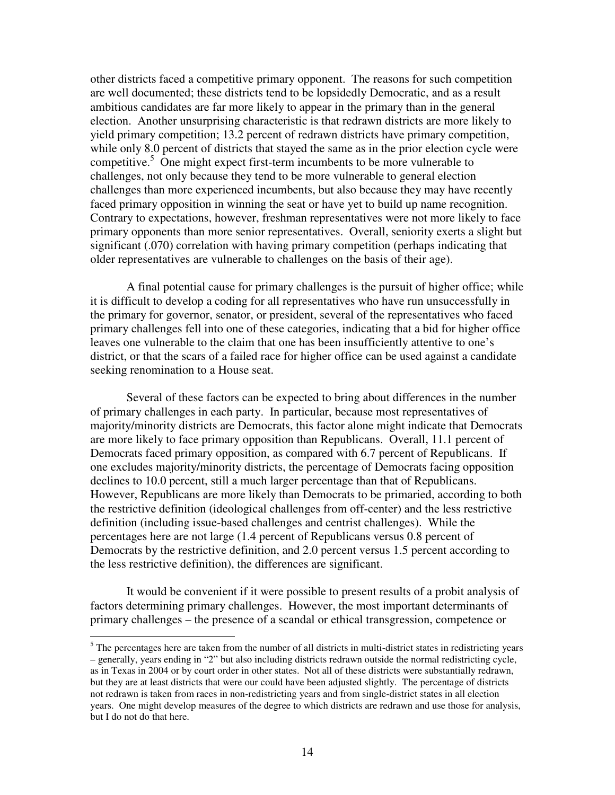other districts faced a competitive primary opponent. The reasons for such competition are well documented; these districts tend to be lopsidedly Democratic, and as a result ambitious candidates are far more likely to appear in the primary than in the general election. Another unsurprising characteristic is that redrawn districts are more likely to yield primary competition; 13.2 percent of redrawn districts have primary competition, while only 8.0 percent of districts that stayed the same as in the prior election cycle were competitive.<sup>5</sup> One might expect first-term incumbents to be more vulnerable to challenges, not only because they tend to be more vulnerable to general election challenges than more experienced incumbents, but also because they may have recently faced primary opposition in winning the seat or have yet to build up name recognition. Contrary to expectations, however, freshman representatives were not more likely to face primary opponents than more senior representatives. Overall, seniority exerts a slight but significant (.070) correlation with having primary competition (perhaps indicating that older representatives are vulnerable to challenges on the basis of their age).

 A final potential cause for primary challenges is the pursuit of higher office; while it is difficult to develop a coding for all representatives who have run unsuccessfully in the primary for governor, senator, or president, several of the representatives who faced primary challenges fell into one of these categories, indicating that a bid for higher office leaves one vulnerable to the claim that one has been insufficiently attentive to one's district, or that the scars of a failed race for higher office can be used against a candidate seeking renomination to a House seat.

 Several of these factors can be expected to bring about differences in the number of primary challenges in each party. In particular, because most representatives of majority/minority districts are Democrats, this factor alone might indicate that Democrats are more likely to face primary opposition than Republicans. Overall, 11.1 percent of Democrats faced primary opposition, as compared with 6.7 percent of Republicans. If one excludes majority/minority districts, the percentage of Democrats facing opposition declines to 10.0 percent, still a much larger percentage than that of Republicans. However, Republicans are more likely than Democrats to be primaried, according to both the restrictive definition (ideological challenges from off-center) and the less restrictive definition (including issue-based challenges and centrist challenges). While the percentages here are not large (1.4 percent of Republicans versus 0.8 percent of Democrats by the restrictive definition, and 2.0 percent versus 1.5 percent according to the less restrictive definition), the differences are significant.

 It would be convenient if it were possible to present results of a probit analysis of factors determining primary challenges. However, the most important determinants of primary challenges – the presence of a scandal or ethical transgression, competence or

 $<sup>5</sup>$  The percentages here are taken from the number of all districts in multi-district states in redistricting years</sup> – generally, years ending in "2" but also including districts redrawn outside the normal redistricting cycle, as in Texas in 2004 or by court order in other states. Not all of these districts were substantially redrawn, but they are at least districts that were our could have been adjusted slightly. The percentage of districts not redrawn is taken from races in non-redistricting years and from single-district states in all election years. One might develop measures of the degree to which districts are redrawn and use those for analysis, but I do not do that here.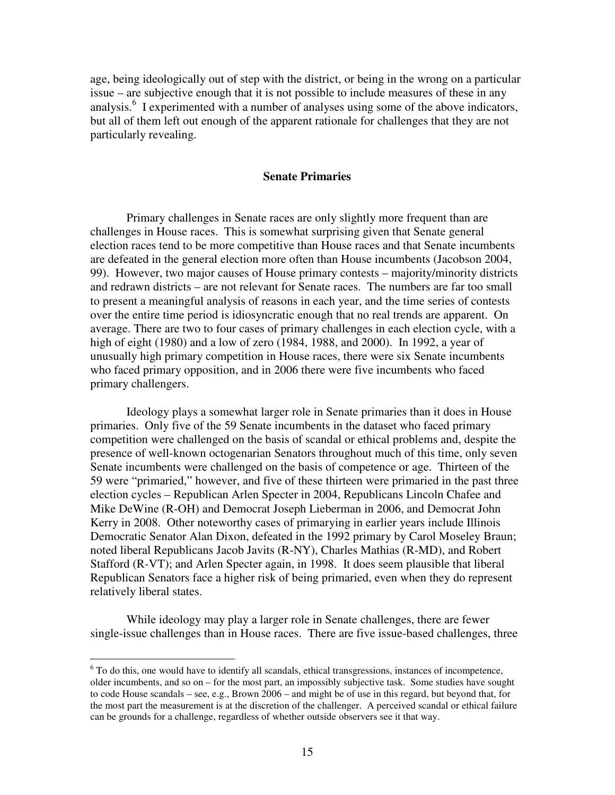age, being ideologically out of step with the district, or being in the wrong on a particular issue – are subjective enough that it is not possible to include measures of these in any analysis.<sup>6</sup> I experimented with a number of analyses using some of the above indicators, but all of them left out enough of the apparent rationale for challenges that they are not particularly revealing.

## **Senate Primaries**

Primary challenges in Senate races are only slightly more frequent than are challenges in House races. This is somewhat surprising given that Senate general election races tend to be more competitive than House races and that Senate incumbents are defeated in the general election more often than House incumbents (Jacobson 2004, 99). However, two major causes of House primary contests – majority/minority districts and redrawn districts – are not relevant for Senate races. The numbers are far too small to present a meaningful analysis of reasons in each year, and the time series of contests over the entire time period is idiosyncratic enough that no real trends are apparent. On average. There are two to four cases of primary challenges in each election cycle, with a high of eight (1980) and a low of zero (1984, 1988, and 2000). In 1992, a year of unusually high primary competition in House races, there were six Senate incumbents who faced primary opposition, and in 2006 there were five incumbents who faced primary challengers.

 Ideology plays a somewhat larger role in Senate primaries than it does in House primaries. Only five of the 59 Senate incumbents in the dataset who faced primary competition were challenged on the basis of scandal or ethical problems and, despite the presence of well-known octogenarian Senators throughout much of this time, only seven Senate incumbents were challenged on the basis of competence or age. Thirteen of the 59 were "primaried," however, and five of these thirteen were primaried in the past three election cycles – Republican Arlen Specter in 2004, Republicans Lincoln Chafee and Mike DeWine (R-OH) and Democrat Joseph Lieberman in 2006, and Democrat John Kerry in 2008. Other noteworthy cases of primarying in earlier years include Illinois Democratic Senator Alan Dixon, defeated in the 1992 primary by Carol Moseley Braun; noted liberal Republicans Jacob Javits (R-NY), Charles Mathias (R-MD), and Robert Stafford (R-VT); and Arlen Specter again, in 1998. It does seem plausible that liberal Republican Senators face a higher risk of being primaried, even when they do represent relatively liberal states.

 While ideology may play a larger role in Senate challenges, there are fewer single-issue challenges than in House races. There are five issue-based challenges, three

 6 To do this, one would have to identify all scandals, ethical transgressions, instances of incompetence, older incumbents, and so on – for the most part, an impossibly subjective task. Some studies have sought to code House scandals – see, e.g., Brown 2006 – and might be of use in this regard, but beyond that, for the most part the measurement is at the discretion of the challenger. A perceived scandal or ethical failure can be grounds for a challenge, regardless of whether outside observers see it that way.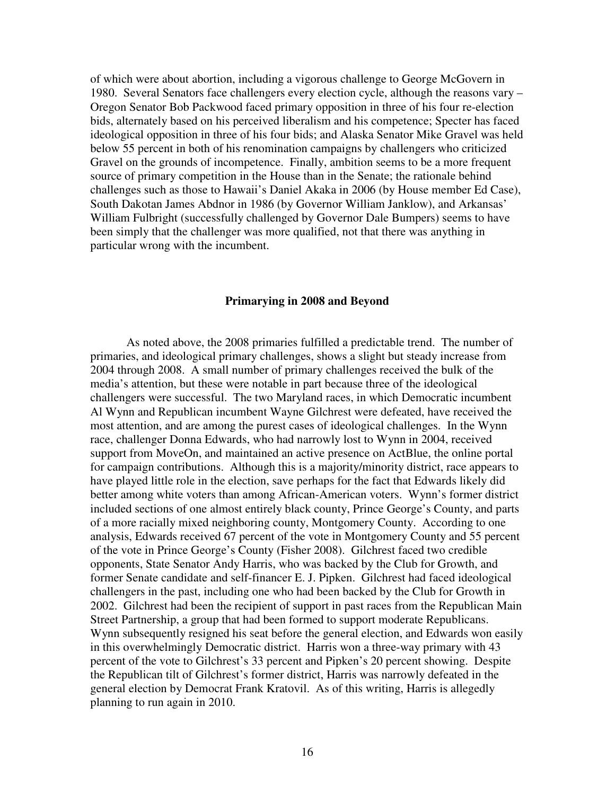of which were about abortion, including a vigorous challenge to George McGovern in 1980. Several Senators face challengers every election cycle, although the reasons vary – Oregon Senator Bob Packwood faced primary opposition in three of his four re-election bids, alternately based on his perceived liberalism and his competence; Specter has faced ideological opposition in three of his four bids; and Alaska Senator Mike Gravel was held below 55 percent in both of his renomination campaigns by challengers who criticized Gravel on the grounds of incompetence. Finally, ambition seems to be a more frequent source of primary competition in the House than in the Senate; the rationale behind challenges such as those to Hawaii's Daniel Akaka in 2006 (by House member Ed Case), South Dakotan James Abdnor in 1986 (by Governor William Janklow), and Arkansas' William Fulbright (successfully challenged by Governor Dale Bumpers) seems to have been simply that the challenger was more qualified, not that there was anything in particular wrong with the incumbent.

#### **Primarying in 2008 and Beyond**

 As noted above, the 2008 primaries fulfilled a predictable trend. The number of primaries, and ideological primary challenges, shows a slight but steady increase from 2004 through 2008. A small number of primary challenges received the bulk of the media's attention, but these were notable in part because three of the ideological challengers were successful. The two Maryland races, in which Democratic incumbent Al Wynn and Republican incumbent Wayne Gilchrest were defeated, have received the most attention, and are among the purest cases of ideological challenges. In the Wynn race, challenger Donna Edwards, who had narrowly lost to Wynn in 2004, received support from MoveOn, and maintained an active presence on ActBlue, the online portal for campaign contributions. Although this is a majority/minority district, race appears to have played little role in the election, save perhaps for the fact that Edwards likely did better among white voters than among African-American voters. Wynn's former district included sections of one almost entirely black county, Prince George's County, and parts of a more racially mixed neighboring county, Montgomery County. According to one analysis, Edwards received 67 percent of the vote in Montgomery County and 55 percent of the vote in Prince George's County (Fisher 2008). Gilchrest faced two credible opponents, State Senator Andy Harris, who was backed by the Club for Growth, and former Senate candidate and self-financer E. J. Pipken. Gilchrest had faced ideological challengers in the past, including one who had been backed by the Club for Growth in 2002. Gilchrest had been the recipient of support in past races from the Republican Main Street Partnership, a group that had been formed to support moderate Republicans. Wynn subsequently resigned his seat before the general election, and Edwards won easily in this overwhelmingly Democratic district. Harris won a three-way primary with 43 percent of the vote to Gilchrest's 33 percent and Pipken's 20 percent showing. Despite the Republican tilt of Gilchrest's former district, Harris was narrowly defeated in the general election by Democrat Frank Kratovil. As of this writing, Harris is allegedly planning to run again in 2010.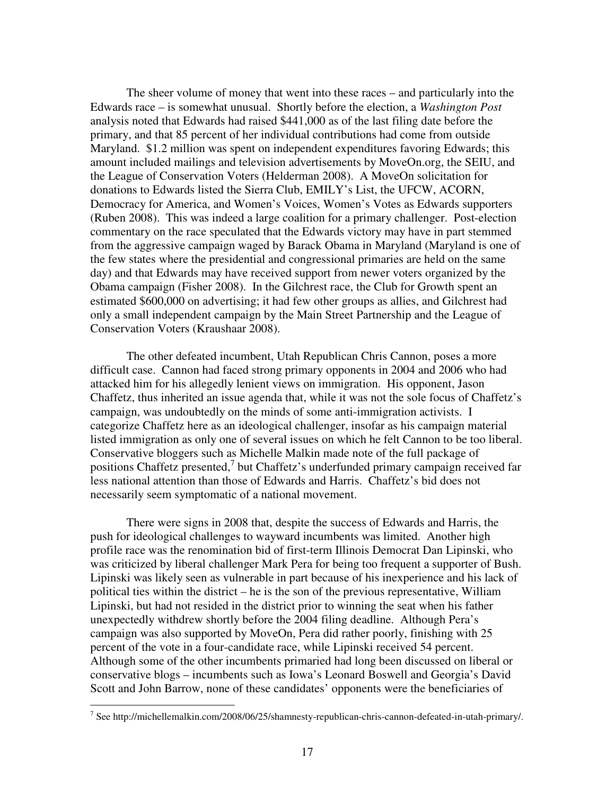The sheer volume of money that went into these races – and particularly into the Edwards race – is somewhat unusual. Shortly before the election, a *Washington Post* analysis noted that Edwards had raised \$441,000 as of the last filing date before the primary, and that 85 percent of her individual contributions had come from outside Maryland. \$1.2 million was spent on independent expenditures favoring Edwards; this amount included mailings and television advertisements by MoveOn.org, the SEIU, and the League of Conservation Voters (Helderman 2008). A MoveOn solicitation for donations to Edwards listed the Sierra Club, EMILY's List, the UFCW, ACORN, Democracy for America, and Women's Voices, Women's Votes as Edwards supporters (Ruben 2008). This was indeed a large coalition for a primary challenger. Post-election commentary on the race speculated that the Edwards victory may have in part stemmed from the aggressive campaign waged by Barack Obama in Maryland (Maryland is one of the few states where the presidential and congressional primaries are held on the same day) and that Edwards may have received support from newer voters organized by the Obama campaign (Fisher 2008). In the Gilchrest race, the Club for Growth spent an estimated \$600,000 on advertising; it had few other groups as allies, and Gilchrest had only a small independent campaign by the Main Street Partnership and the League of Conservation Voters (Kraushaar 2008).

The other defeated incumbent, Utah Republican Chris Cannon, poses a more difficult case. Cannon had faced strong primary opponents in 2004 and 2006 who had attacked him for his allegedly lenient views on immigration. His opponent, Jason Chaffetz, thus inherited an issue agenda that, while it was not the sole focus of Chaffetz's campaign, was undoubtedly on the minds of some anti-immigration activists. I categorize Chaffetz here as an ideological challenger, insofar as his campaign material listed immigration as only one of several issues on which he felt Cannon to be too liberal. Conservative bloggers such as Michelle Malkin made note of the full package of positions Chaffetz presented, $7$  but Chaffetz's underfunded primary campaign received far less national attention than those of Edwards and Harris. Chaffetz's bid does not necessarily seem symptomatic of a national movement.

There were signs in 2008 that, despite the success of Edwards and Harris, the push for ideological challenges to wayward incumbents was limited. Another high profile race was the renomination bid of first-term Illinois Democrat Dan Lipinski, who was criticized by liberal challenger Mark Pera for being too frequent a supporter of Bush. Lipinski was likely seen as vulnerable in part because of his inexperience and his lack of political ties within the district – he is the son of the previous representative, William Lipinski, but had not resided in the district prior to winning the seat when his father unexpectedly withdrew shortly before the 2004 filing deadline. Although Pera's campaign was also supported by MoveOn, Pera did rather poorly, finishing with 25 percent of the vote in a four-candidate race, while Lipinski received 54 percent. Although some of the other incumbents primaried had long been discussed on liberal or conservative blogs – incumbents such as Iowa's Leonard Boswell and Georgia's David Scott and John Barrow, none of these candidates' opponents were the beneficiaries of

<sup>&</sup>lt;sup>7</sup> See http://michellemalkin.com/2008/06/25/shamnesty-republican-chris-cannon-defeated-in-utah-primary/.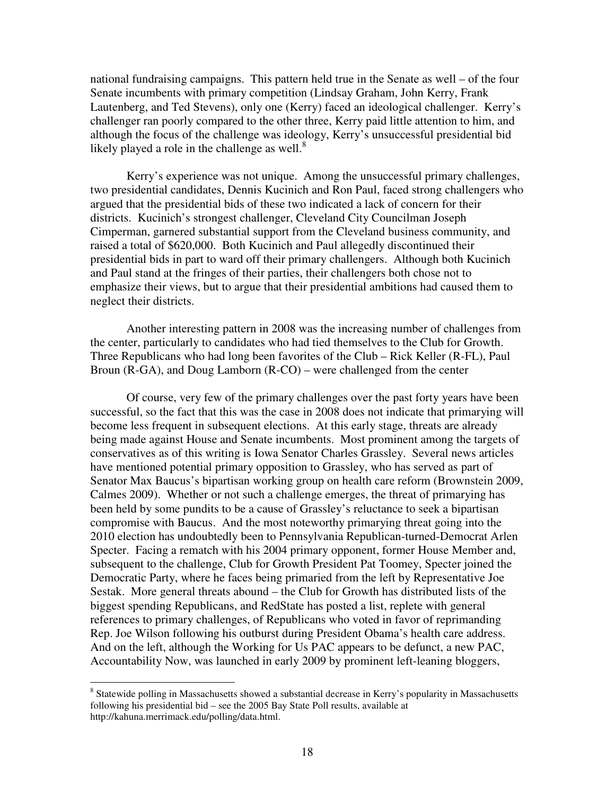national fundraising campaigns. This pattern held true in the Senate as well – of the four Senate incumbents with primary competition (Lindsay Graham, John Kerry, Frank Lautenberg, and Ted Stevens), only one (Kerry) faced an ideological challenger. Kerry's challenger ran poorly compared to the other three, Kerry paid little attention to him, and although the focus of the challenge was ideology, Kerry's unsuccessful presidential bid likely played a role in the challenge as well. $8$ 

 Kerry's experience was not unique. Among the unsuccessful primary challenges, two presidential candidates, Dennis Kucinich and Ron Paul, faced strong challengers who argued that the presidential bids of these two indicated a lack of concern for their districts. Kucinich's strongest challenger, Cleveland City Councilman Joseph Cimperman, garnered substantial support from the Cleveland business community, and raised a total of \$620,000. Both Kucinich and Paul allegedly discontinued their presidential bids in part to ward off their primary challengers. Although both Kucinich and Paul stand at the fringes of their parties, their challengers both chose not to emphasize their views, but to argue that their presidential ambitions had caused them to neglect their districts.

 Another interesting pattern in 2008 was the increasing number of challenges from the center, particularly to candidates who had tied themselves to the Club for Growth. Three Republicans who had long been favorites of the Club – Rick Keller (R-FL), Paul Broun (R-GA), and Doug Lamborn (R-CO) – were challenged from the center

 Of course, very few of the primary challenges over the past forty years have been successful, so the fact that this was the case in 2008 does not indicate that primarying will become less frequent in subsequent elections. At this early stage, threats are already being made against House and Senate incumbents. Most prominent among the targets of conservatives as of this writing is Iowa Senator Charles Grassley. Several news articles have mentioned potential primary opposition to Grassley, who has served as part of Senator Max Baucus's bipartisan working group on health care reform (Brownstein 2009, Calmes 2009). Whether or not such a challenge emerges, the threat of primarying has been held by some pundits to be a cause of Grassley's reluctance to seek a bipartisan compromise with Baucus. And the most noteworthy primarying threat going into the 2010 election has undoubtedly been to Pennsylvania Republican-turned-Democrat Arlen Specter. Facing a rematch with his 2004 primary opponent, former House Member and, subsequent to the challenge, Club for Growth President Pat Toomey, Specter joined the Democratic Party, where he faces being primaried from the left by Representative Joe Sestak. More general threats abound – the Club for Growth has distributed lists of the biggest spending Republicans, and RedState has posted a list, replete with general references to primary challenges, of Republicans who voted in favor of reprimanding Rep. Joe Wilson following his outburst during President Obama's health care address. And on the left, although the Working for Us PAC appears to be defunct, a new PAC, Accountability Now, was launched in early 2009 by prominent left-leaning bloggers,

<sup>&</sup>lt;sup>8</sup> Statewide polling in Massachusetts showed a substantial decrease in Kerry's popularity in Massachusetts following his presidential bid – see the 2005 Bay State Poll results, available at http://kahuna.merrimack.edu/polling/data.html.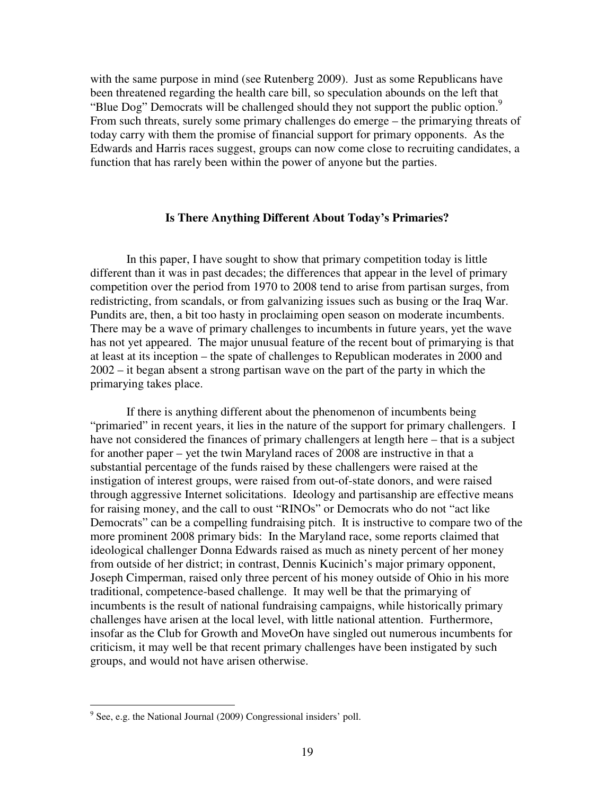with the same purpose in mind (see Rutenberg 2009). Just as some Republicans have been threatened regarding the health care bill, so speculation abounds on the left that "Blue Dog" Democrats will be challenged should they not support the public option.<sup>9</sup> From such threats, surely some primary challenges do emerge – the primarying threats of today carry with them the promise of financial support for primary opponents. As the Edwards and Harris races suggest, groups can now come close to recruiting candidates, a function that has rarely been within the power of anyone but the parties.

## **Is There Anything Different About Today's Primaries?**

 In this paper, I have sought to show that primary competition today is little different than it was in past decades; the differences that appear in the level of primary competition over the period from 1970 to 2008 tend to arise from partisan surges, from redistricting, from scandals, or from galvanizing issues such as busing or the Iraq War. Pundits are, then, a bit too hasty in proclaiming open season on moderate incumbents. There may be a wave of primary challenges to incumbents in future years, yet the wave has not yet appeared. The major unusual feature of the recent bout of primarying is that at least at its inception – the spate of challenges to Republican moderates in 2000 and 2002 – it began absent a strong partisan wave on the part of the party in which the primarying takes place.

 If there is anything different about the phenomenon of incumbents being "primaried" in recent years, it lies in the nature of the support for primary challengers. I have not considered the finances of primary challengers at length here – that is a subject for another paper – yet the twin Maryland races of 2008 are instructive in that a substantial percentage of the funds raised by these challengers were raised at the instigation of interest groups, were raised from out-of-state donors, and were raised through aggressive Internet solicitations. Ideology and partisanship are effective means for raising money, and the call to oust "RINOs" or Democrats who do not "act like Democrats" can be a compelling fundraising pitch. It is instructive to compare two of the more prominent 2008 primary bids: In the Maryland race, some reports claimed that ideological challenger Donna Edwards raised as much as ninety percent of her money from outside of her district; in contrast, Dennis Kucinich's major primary opponent, Joseph Cimperman, raised only three percent of his money outside of Ohio in his more traditional, competence-based challenge. It may well be that the primarying of incumbents is the result of national fundraising campaigns, while historically primary challenges have arisen at the local level, with little national attention. Furthermore, insofar as the Club for Growth and MoveOn have singled out numerous incumbents for criticism, it may well be that recent primary challenges have been instigated by such groups, and would not have arisen otherwise.

<sup>&</sup>lt;sup>9</sup> See, e.g. the National Journal (2009) Congressional insiders' poll.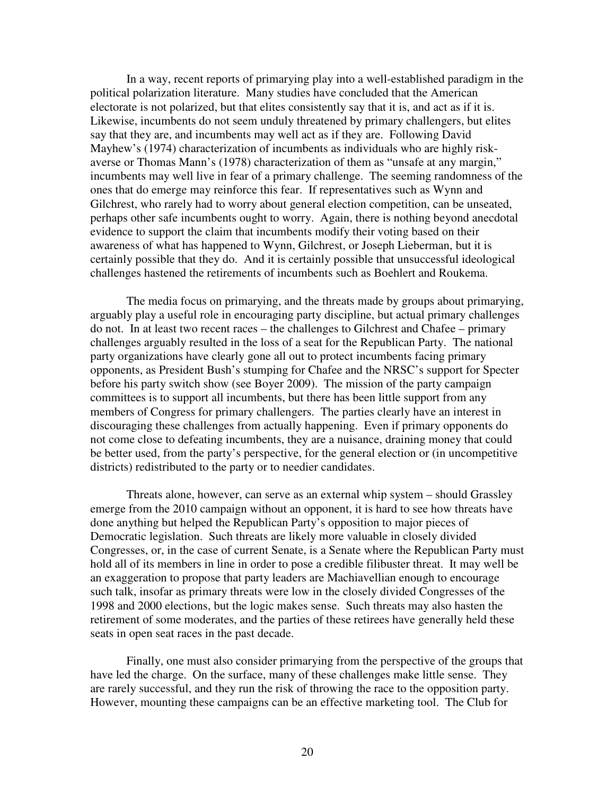In a way, recent reports of primarying play into a well-established paradigm in the political polarization literature. Many studies have concluded that the American electorate is not polarized, but that elites consistently say that it is, and act as if it is. Likewise, incumbents do not seem unduly threatened by primary challengers, but elites say that they are, and incumbents may well act as if they are. Following David Mayhew's (1974) characterization of incumbents as individuals who are highly riskaverse or Thomas Mann's (1978) characterization of them as "unsafe at any margin," incumbents may well live in fear of a primary challenge. The seeming randomness of the ones that do emerge may reinforce this fear. If representatives such as Wynn and Gilchrest, who rarely had to worry about general election competition, can be unseated, perhaps other safe incumbents ought to worry. Again, there is nothing beyond anecdotal evidence to support the claim that incumbents modify their voting based on their awareness of what has happened to Wynn, Gilchrest, or Joseph Lieberman, but it is certainly possible that they do. And it is certainly possible that unsuccessful ideological challenges hastened the retirements of incumbents such as Boehlert and Roukema.

 The media focus on primarying, and the threats made by groups about primarying, arguably play a useful role in encouraging party discipline, but actual primary challenges do not. In at least two recent races – the challenges to Gilchrest and Chafee – primary challenges arguably resulted in the loss of a seat for the Republican Party. The national party organizations have clearly gone all out to protect incumbents facing primary opponents, as President Bush's stumping for Chafee and the NRSC's support for Specter before his party switch show (see Boyer 2009). The mission of the party campaign committees is to support all incumbents, but there has been little support from any members of Congress for primary challengers. The parties clearly have an interest in discouraging these challenges from actually happening. Even if primary opponents do not come close to defeating incumbents, they are a nuisance, draining money that could be better used, from the party's perspective, for the general election or (in uncompetitive districts) redistributed to the party or to needier candidates.

Threats alone, however, can serve as an external whip system – should Grassley emerge from the 2010 campaign without an opponent, it is hard to see how threats have done anything but helped the Republican Party's opposition to major pieces of Democratic legislation. Such threats are likely more valuable in closely divided Congresses, or, in the case of current Senate, is a Senate where the Republican Party must hold all of its members in line in order to pose a credible filibuster threat. It may well be an exaggeration to propose that party leaders are Machiavellian enough to encourage such talk, insofar as primary threats were low in the closely divided Congresses of the 1998 and 2000 elections, but the logic makes sense. Such threats may also hasten the retirement of some moderates, and the parties of these retirees have generally held these seats in open seat races in the past decade.

 Finally, one must also consider primarying from the perspective of the groups that have led the charge. On the surface, many of these challenges make little sense. They are rarely successful, and they run the risk of throwing the race to the opposition party. However, mounting these campaigns can be an effective marketing tool. The Club for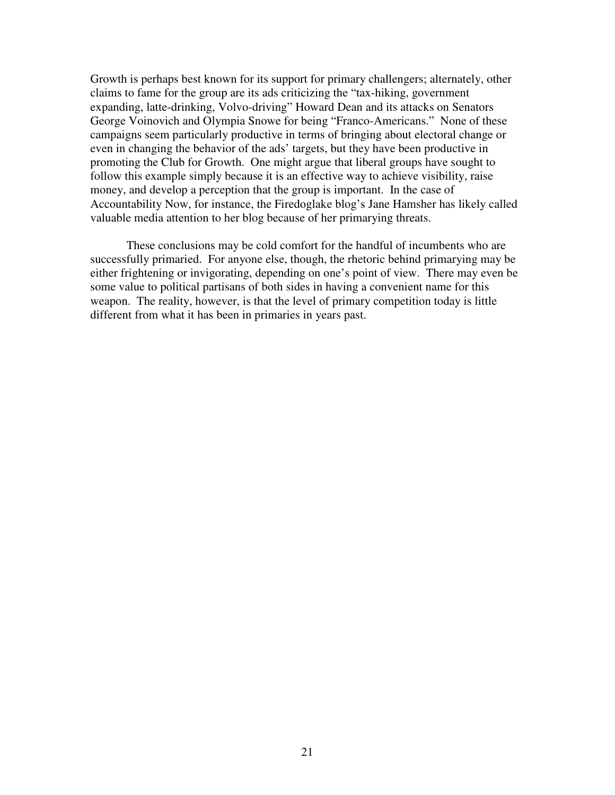Growth is perhaps best known for its support for primary challengers; alternately, other claims to fame for the group are its ads criticizing the "tax-hiking, government expanding, latte-drinking, Volvo-driving" Howard Dean and its attacks on Senators George Voinovich and Olympia Snowe for being "Franco-Americans." None of these campaigns seem particularly productive in terms of bringing about electoral change or even in changing the behavior of the ads' targets, but they have been productive in promoting the Club for Growth. One might argue that liberal groups have sought to follow this example simply because it is an effective way to achieve visibility, raise money, and develop a perception that the group is important. In the case of Accountability Now, for instance, the Firedoglake blog's Jane Hamsher has likely called valuable media attention to her blog because of her primarying threats.

 These conclusions may be cold comfort for the handful of incumbents who are successfully primaried. For anyone else, though, the rhetoric behind primarying may be either frightening or invigorating, depending on one's point of view. There may even be some value to political partisans of both sides in having a convenient name for this weapon. The reality, however, is that the level of primary competition today is little different from what it has been in primaries in years past.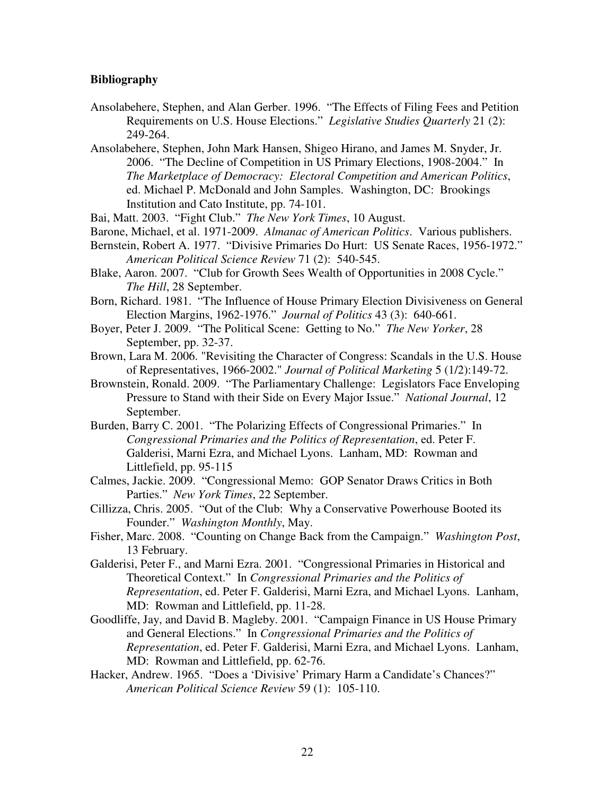## **Bibliography**

- Ansolabehere, Stephen, and Alan Gerber. 1996. "The Effects of Filing Fees and Petition Requirements on U.S. House Elections." *Legislative Studies Quarterly* 21 (2): 249-264.
- Ansolabehere, Stephen, John Mark Hansen, Shigeo Hirano, and James M. Snyder, Jr. 2006. "The Decline of Competition in US Primary Elections, 1908-2004." In *The Marketplace of Democracy: Electoral Competition and American Politics*, ed. Michael P. McDonald and John Samples. Washington, DC: Brookings Institution and Cato Institute, pp. 74-101.
- Bai, Matt. 2003. "Fight Club." *The New York Times*, 10 August.
- Barone, Michael, et al. 1971-2009. *Almanac of American Politics*. Various publishers.
- Bernstein, Robert A. 1977. "Divisive Primaries Do Hurt: US Senate Races, 1956-1972." *American Political Science Review* 71 (2): 540-545.
- Blake, Aaron. 2007. "Club for Growth Sees Wealth of Opportunities in 2008 Cycle." *The Hill*, 28 September.
- Born, Richard. 1981. "The Influence of House Primary Election Divisiveness on General Election Margins, 1962-1976." *Journal of Politics* 43 (3): 640-661.
- Boyer, Peter J. 2009. "The Political Scene: Getting to No." *The New Yorker*, 28 September, pp. 32-37.
- Brown, Lara M. 2006. "Revisiting the Character of Congress: Scandals in the U.S. House of Representatives, 1966-2002." *Journal of Political Marketing* 5 (1/2):149-72.
- Brownstein, Ronald. 2009. "The Parliamentary Challenge: Legislators Face Enveloping Pressure to Stand with their Side on Every Major Issue." *National Journal*, 12 September.
- Burden, Barry C. 2001. "The Polarizing Effects of Congressional Primaries." In *Congressional Primaries and the Politics of Representation*, ed. Peter F. Galderisi, Marni Ezra, and Michael Lyons. Lanham, MD: Rowman and Littlefield, pp. 95-115
- Calmes, Jackie. 2009. "Congressional Memo: GOP Senator Draws Critics in Both Parties." *New York Times*, 22 September.
- Cillizza, Chris. 2005. "Out of the Club: Why a Conservative Powerhouse Booted its Founder." *Washington Monthly*, May.
- Fisher, Marc. 2008. "Counting on Change Back from the Campaign." *Washington Post*, 13 February.
- Galderisi, Peter F., and Marni Ezra. 2001. "Congressional Primaries in Historical and Theoretical Context." In *Congressional Primaries and the Politics of Representation*, ed. Peter F. Galderisi, Marni Ezra, and Michael Lyons. Lanham, MD: Rowman and Littlefield, pp. 11-28.
- Goodliffe, Jay, and David B. Magleby. 2001. "Campaign Finance in US House Primary and General Elections." In *Congressional Primaries and the Politics of Representation*, ed. Peter F. Galderisi, Marni Ezra, and Michael Lyons. Lanham, MD: Rowman and Littlefield, pp. 62-76.
- Hacker, Andrew. 1965. "Does a 'Divisive' Primary Harm a Candidate's Chances?" *American Political Science Review* 59 (1): 105-110.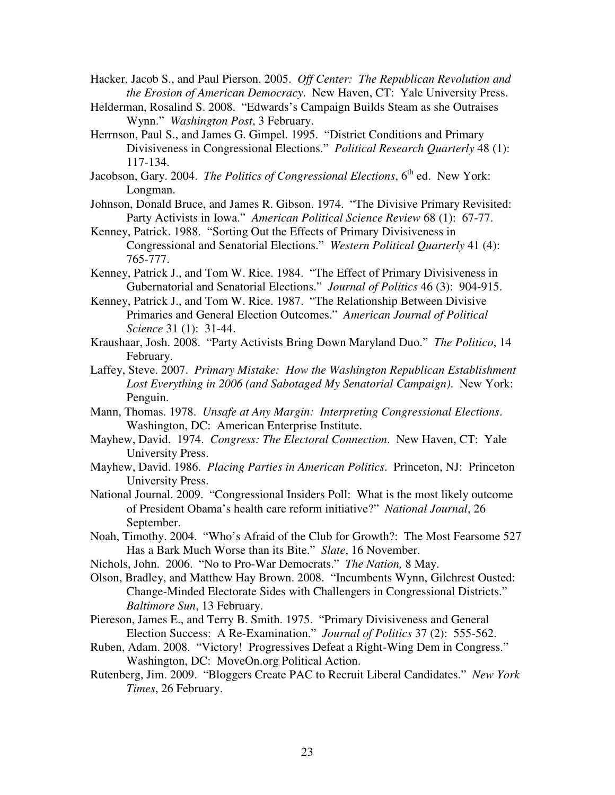- Hacker, Jacob S., and Paul Pierson. 2005. *Off Center: The Republican Revolution and the Erosion of American Democracy*. New Haven, CT: Yale University Press.
- Helderman, Rosalind S. 2008. "Edwards's Campaign Builds Steam as she Outraises Wynn." *Washington Post*, 3 February.
- Herrnson, Paul S., and James G. Gimpel. 1995. "District Conditions and Primary Divisiveness in Congressional Elections." *Political Research Quarterly* 48 (1): 117-134.
- Jacobson, Gary. 2004. *The Politics of Congressional Elections*, 6<sup>th</sup> ed. New York: Longman.
- Johnson, Donald Bruce, and James R. Gibson. 1974. "The Divisive Primary Revisited: Party Activists in Iowa." *American Political Science Review* 68 (1): 67-77.
- Kenney, Patrick. 1988. "Sorting Out the Effects of Primary Divisiveness in Congressional and Senatorial Elections." *Western Political Quarterly* 41 (4): 765-777.
- Kenney, Patrick J., and Tom W. Rice. 1984. "The Effect of Primary Divisiveness in Gubernatorial and Senatorial Elections." *Journal of Politics* 46 (3): 904-915.
- Kenney, Patrick J., and Tom W. Rice. 1987. "The Relationship Between Divisive Primaries and General Election Outcomes." *American Journal of Political Science* 31 (1): 31-44.
- Kraushaar, Josh. 2008. "Party Activists Bring Down Maryland Duo." *The Politico*, 14 February.
- Laffey, Steve. 2007. *Primary Mistake: How the Washington Republican Establishment Lost Everything in 2006 (and Sabotaged My Senatorial Campaign)*. New York: Penguin.
- Mann, Thomas. 1978. *Unsafe at Any Margin: Interpreting Congressional Elections*. Washington, DC: American Enterprise Institute.
- Mayhew, David. 1974. *Congress: The Electoral Connection*. New Haven, CT: Yale University Press.
- Mayhew, David. 1986. *Placing Parties in American Politics*. Princeton, NJ: Princeton University Press.
- National Journal. 2009. "Congressional Insiders Poll: What is the most likely outcome of President Obama's health care reform initiative?" *National Journal*, 26 September.
- Noah, Timothy. 2004. "Who's Afraid of the Club for Growth?: The Most Fearsome 527 Has a Bark Much Worse than its Bite." *Slate*, 16 November.
- Nichols, John. 2006. "No to Pro-War Democrats." *The Nation,* 8 May.
- Olson, Bradley, and Matthew Hay Brown. 2008. "Incumbents Wynn, Gilchrest Ousted: Change-Minded Electorate Sides with Challengers in Congressional Districts." *Baltimore Sun*, 13 February.
- Piereson, James E., and Terry B. Smith. 1975. "Primary Divisiveness and General Election Success: A Re-Examination." *Journal of Politics* 37 (2): 555-562.
- Ruben, Adam. 2008. "Victory! Progressives Defeat a Right-Wing Dem in Congress." Washington, DC: MoveOn.org Political Action.
- Rutenberg, Jim. 2009. "Bloggers Create PAC to Recruit Liberal Candidates." *New York Times*, 26 February.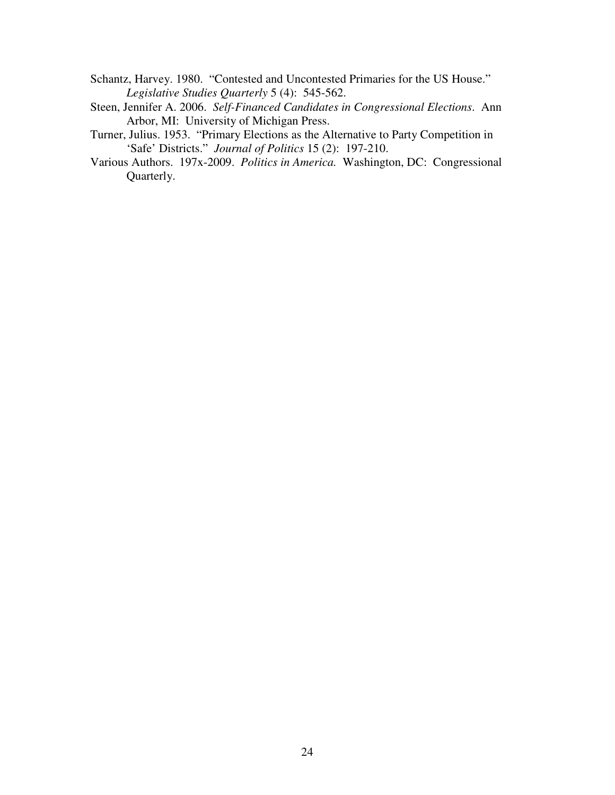- Schantz, Harvey. 1980. "Contested and Uncontested Primaries for the US House." *Legislative Studies Quarterly* 5 (4): 545-562.
- Steen, Jennifer A. 2006. *Self-Financed Candidates in Congressional Elections*. Ann Arbor, MI: University of Michigan Press.
- Turner, Julius. 1953. "Primary Elections as the Alternative to Party Competition in 'Safe' Districts." *Journal of Politics* 15 (2): 197-210.
- Various Authors. 197x-2009. *Politics in America.* Washington, DC: Congressional Quarterly.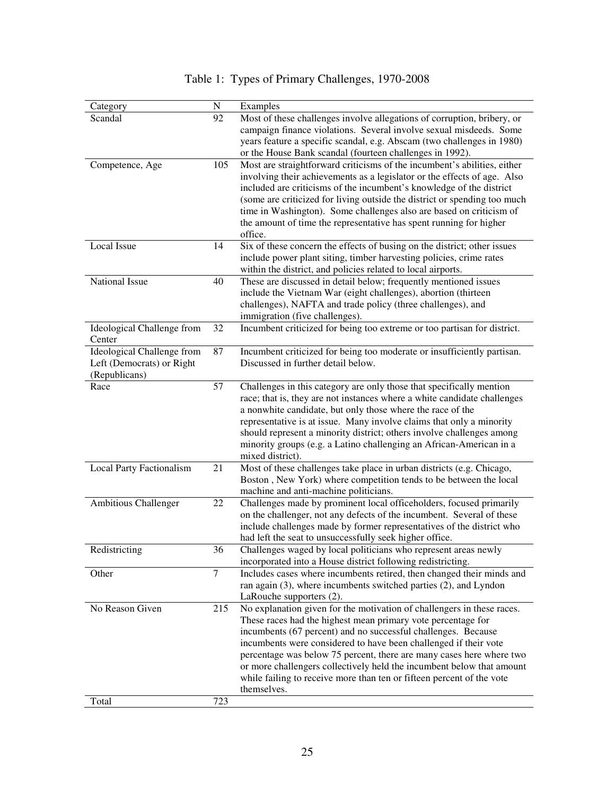| Category                        | N      | Examples                                                                  |
|---------------------------------|--------|---------------------------------------------------------------------------|
| Scandal                         | 92     | Most of these challenges involve allegations of corruption, bribery, or   |
|                                 |        | campaign finance violations. Several involve sexual misdeeds. Some        |
|                                 |        | years feature a specific scandal, e.g. Abscam (two challenges in 1980)    |
|                                 |        | or the House Bank scandal (fourteen challenges in 1992).                  |
| Competence, Age                 | 105    | Most are straightforward criticisms of the incumbent's abilities, either  |
|                                 |        | involving their achievements as a legislator or the effects of age. Also  |
|                                 |        | included are criticisms of the incumbent's knowledge of the district      |
|                                 |        | (some are criticized for living outside the district or spending too much |
|                                 |        | time in Washington). Some challenges also are based on criticism of       |
|                                 |        | the amount of time the representative has spent running for higher        |
|                                 |        | office.                                                                   |
| Local Issue                     | 14     | Six of these concern the effects of busing on the district; other issues  |
|                                 |        | include power plant siting, timber harvesting policies, crime rates       |
|                                 |        | within the district, and policies related to local airports.              |
| <b>National Issue</b>           | 40     | These are discussed in detail below; frequently mentioned issues          |
|                                 |        | include the Vietnam War (eight challenges), abortion (thirteen            |
|                                 |        | challenges), NAFTA and trade policy (three challenges), and               |
|                                 |        | immigration (five challenges).                                            |
| Ideological Challenge from      | 32     | Incumbent criticized for being too extreme or too partisan for district.  |
| Center                          |        |                                                                           |
| Ideological Challenge from      | 87     | Incumbent criticized for being too moderate or insufficiently partisan.   |
| Left (Democrats) or Right       |        | Discussed in further detail below.                                        |
| (Republicans)                   |        |                                                                           |
| Race                            | 57     | Challenges in this category are only those that specifically mention      |
|                                 |        | race; that is, they are not instances where a white candidate challenges  |
|                                 |        | a nonwhite candidate, but only those where the race of the                |
|                                 |        | representative is at issue. Many involve claims that only a minority      |
|                                 |        | should represent a minority district; others involve challenges among     |
|                                 |        | minority groups (e.g. a Latino challenging an African-American in a       |
|                                 |        | mixed district).                                                          |
| <b>Local Party Factionalism</b> | 21     | Most of these challenges take place in urban districts (e.g. Chicago,     |
|                                 |        | Boston, New York) where competition tends to be between the local         |
|                                 |        | machine and anti-machine politicians.                                     |
| Ambitious Challenger            | 22     | Challenges made by prominent local officeholders, focused primarily       |
|                                 |        | on the challenger, not any defects of the incumbent. Several of these     |
|                                 |        | include challenges made by former representatives of the district who     |
|                                 |        | had left the seat to unsuccessfully seek higher office.                   |
| Redistricting                   | 36     | Challenges waged by local politicians who represent areas newly           |
|                                 |        | incorporated into a House district following redistricting.               |
| Other                           | $\tau$ | Includes cases where incumbents retired, then changed their minds and     |
|                                 |        | ran again (3), where incumbents switched parties (2), and Lyndon          |
|                                 |        | LaRouche supporters (2).                                                  |
| No Reason Given                 | 215    | No explanation given for the motivation of challengers in these races.    |
|                                 |        | These races had the highest mean primary vote percentage for              |
|                                 |        | incumbents (67 percent) and no successful challenges. Because             |
|                                 |        | incumbents were considered to have been challenged if their vote          |
|                                 |        | percentage was below 75 percent, there are many cases here where two      |
|                                 |        | or more challengers collectively held the incumbent below that amount     |
|                                 |        | while failing to receive more than ten or fifteen percent of the vote     |
|                                 |        | themselves.                                                               |
| Total                           | 723    |                                                                           |

# Table 1: Types of Primary Challenges, 1970-2008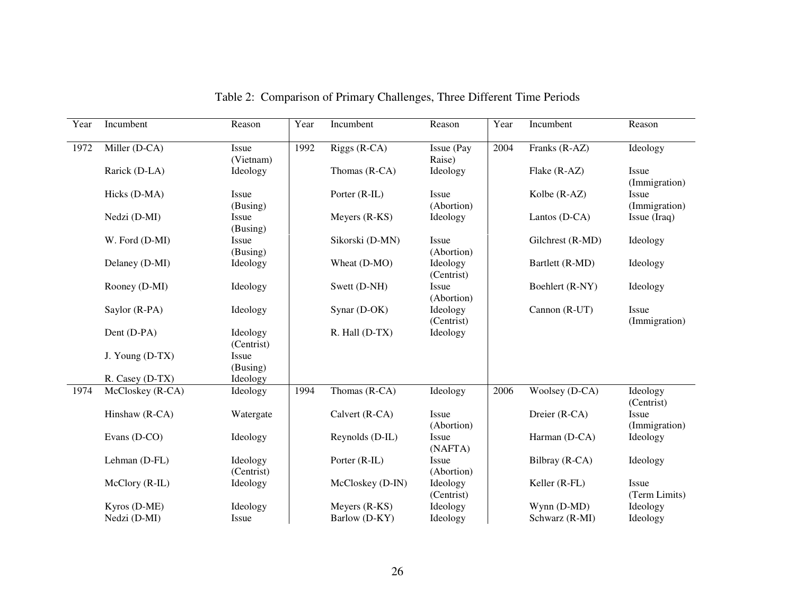| Year | Incumbent                    | Reason                 | Year | Incumbent                      | Reason                 | Year | Incumbent                     | Reason                 |
|------|------------------------------|------------------------|------|--------------------------------|------------------------|------|-------------------------------|------------------------|
| 1972 | Miller (D-CA)                | Issue<br>(Vietnam)     | 1992 | Riggs (R-CA)                   | Issue (Pay<br>Raise)   | 2004 | Franks (R-AZ)                 | Ideology               |
|      | Rarick (D-LA)                | Ideology               |      | Thomas (R-CA)                  | Ideology               |      | Flake (R-AZ)                  | Issue<br>(Immigration) |
|      | Hicks (D-MA)                 | Issue<br>(Busing)      |      | Porter (R-IL)                  | Issue<br>(Abortion)    |      | Kolbe (R-AZ)                  | Issue<br>(Immigration) |
|      | Nedzi (D-MI)                 | Issue<br>(Busing)      |      | Meyers (R-KS)                  | Ideology               |      | Lantos (D-CA)                 | Issue (Iraq)           |
|      | W. Ford (D-MI)               | Issue<br>(Busing)      |      | Sikorski (D-MN)                | Issue<br>(Abortion)    |      | Gilchrest (R-MD)              | Ideology               |
|      | Delaney (D-MI)               | Ideology               |      | Wheat (D-MO)                   | Ideology<br>(Centrist) |      | Bartlett (R-MD)               | Ideology               |
|      | Rooney (D-MI)                | Ideology               |      | Swett (D-NH)                   | Issue<br>(Abortion)    |      | Boehlert (R-NY)               | Ideology               |
|      | Saylor (R-PA)                | Ideology               |      | Synar (D-OK)                   | Ideology<br>(Centrist) |      | Cannon (R-UT)                 | Issue<br>(Immigration) |
|      | Dent (D-PA)                  | Ideology<br>(Centrist) |      | R. Hall (D-TX)                 | Ideology               |      |                               |                        |
|      | J. Young (D-TX)              | Issue<br>(Busing)      |      |                                |                        |      |                               |                        |
|      | R. Casey (D-TX)              | Ideology               |      |                                |                        |      |                               |                        |
| 1974 | McCloskey (R-CA)             | Ideology               | 1994 | Thomas (R-CA)                  | Ideology               | 2006 | Woolsey (D-CA)                | Ideology<br>(Centrist) |
|      | Hinshaw (R-CA)               | Watergate              |      | Calvert (R-CA)                 | Issue<br>(Abortion)    |      | Dreier (R-CA)                 | Issue<br>(Immigration) |
|      | Evans (D-CO)                 | Ideology               |      | Reynolds (D-IL)                | Issue<br>(NAFTA)       |      | Harman (D-CA)                 | Ideology               |
|      | Lehman (D-FL)                | Ideology<br>(Centrist) |      | Porter (R-IL)                  | Issue<br>(Abortion)    |      | Bilbray (R-CA)                | Ideology               |
|      | McClory (R-IL)               | Ideology               |      | McCloskey (D-IN)               | Ideology<br>(Centrist) |      | Keller (R-FL)                 | Issue<br>(Term Limits) |
|      | Kyros (D-ME)<br>Nedzi (D-MI) | Ideology<br>Issue      |      | Meyers (R-KS)<br>Barlow (D-KY) | Ideology<br>Ideology   |      | Wynn (D-MD)<br>Schwarz (R-MI) | Ideology<br>Ideology   |

Table 2: Comparison of Primary Challenges, Three Different Time Periods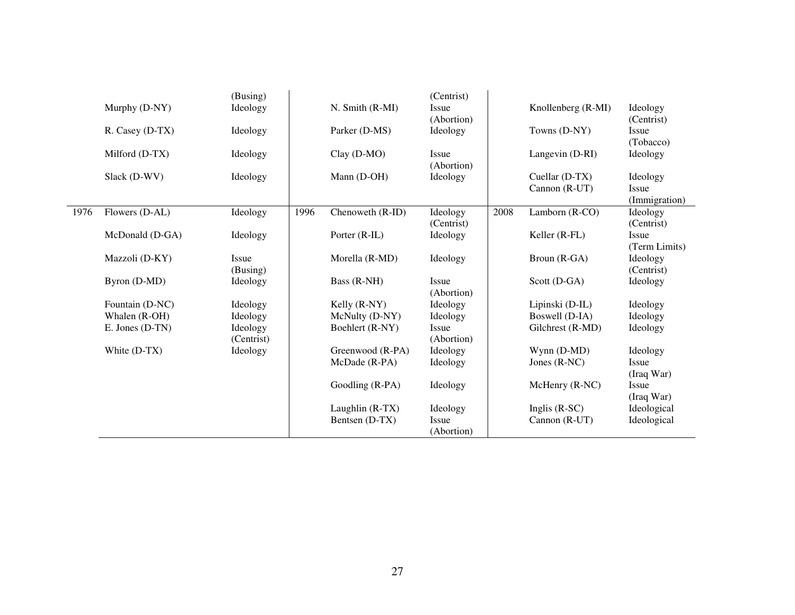|      |                 | (Busing)   |      |                  | (Centrist)          |      |                    |                            |
|------|-----------------|------------|------|------------------|---------------------|------|--------------------|----------------------------|
|      | Murphy (D-NY)   | Ideology   |      | N. Smith (R-MI)  | Issue<br>(Abortion) |      | Knollenberg (R-MI) | Ideology<br>(Centrist)     |
|      | R. Casey (D-TX) | Ideology   |      | Parker (D-MS)    | Ideology            |      | Towns (D-NY)       | Issue                      |
|      |                 |            |      |                  |                     |      |                    | (Tobacco)                  |
|      | Milford (D-TX)  | Ideology   |      | $Clay (D-MO)$    | Issue               |      | Langevin (D-RI)    | Ideology                   |
|      |                 |            |      |                  | (Abortion)          |      |                    |                            |
|      | Slack (D-WV)    | Ideology   |      | Mann (D-OH)      | Ideology            |      | Cuellar (D-TX)     | Ideology                   |
|      |                 |            |      |                  |                     |      | Cannon (R-UT)      | Issue                      |
|      |                 |            |      |                  |                     |      |                    | (Immigration)              |
| 1976 | Flowers (D-AL)  | Ideology   | 1996 | Chenoweth (R-ID) | Ideology            | 2008 | Lamborn (R-CO)     | Ideology                   |
|      |                 |            |      |                  | (Centrist)          |      |                    | (Centrist)<br><b>Issue</b> |
|      | McDonald (D-GA) | Ideology   |      | Porter (R-IL)    | Ideology            |      | Keller (R-FL)      | (Term Limits)              |
|      | Mazzoli (D-KY)  | Issue      |      | Morella (R-MD)   | Ideology            |      | Broun (R-GA)       | Ideology                   |
|      |                 | (Busing)   |      |                  |                     |      |                    | (Centrist)                 |
|      | Byron (D-MD)    | Ideology   |      | Bass (R-NH)      | Issue               |      | Scott (D-GA)       | Ideology                   |
|      |                 |            |      |                  | (Abortion)          |      |                    |                            |
|      | Fountain (D-NC) | Ideology   |      | Kelly (R-NY)     | Ideology            |      | Lipinski (D-IL)    | Ideology                   |
|      | Whalen (R-OH)   | Ideology   |      | McNulty (D-NY)   | Ideology            |      | Boswell (D-IA)     | Ideology                   |
|      | E. Jones (D-TN) | Ideology   |      | Boehlert (R-NY)  | Issue               |      | Gilchrest (R-MD)   | Ideology                   |
|      |                 | (Centrist) |      |                  | (Abortion)          |      |                    |                            |
|      | White (D-TX)    | Ideology   |      | Greenwood (R-PA) | Ideology            |      | Wynn (D-MD)        | Ideology                   |
|      |                 |            |      | McDade (R-PA)    | Ideology            |      | Jones $(R-NC)$     | Issue                      |
|      |                 |            |      |                  |                     |      |                    | (Iraq War)                 |
|      |                 |            |      | Goodling (R-PA)  | Ideology            |      | $McHenry (R-NC)$   | <b>Issue</b>               |
|      |                 |            |      |                  |                     |      |                    | (Iraq War)                 |
|      |                 |            |      | Laughlin (R-TX)  | Ideology            |      | Inglis $(R-SC)$    | Ideological                |
|      |                 |            |      | Bentsen (D-TX)   | Issue               |      | Cannon (R-UT)      | Ideological                |
|      |                 |            |      |                  | (Abortion)          |      |                    |                            |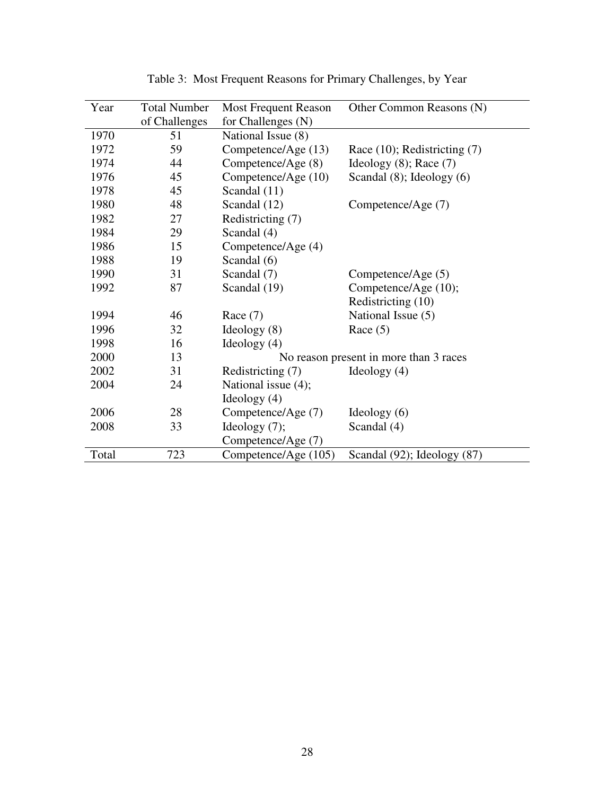| Year  | <b>Total Number</b> | <b>Most Frequent Reason</b> | Other Common Reasons (N)               |
|-------|---------------------|-----------------------------|----------------------------------------|
|       | of Challenges       | for Challenges (N)          |                                        |
| 1970  | 51                  | National Issue (8)          |                                        |
| 1972  | 59                  | Competence/Age (13)         | Race $(10)$ ; Redistricting $(7)$      |
| 1974  | 44                  | Competence/Age (8)          | Ideology $(8)$ ; Race $(7)$            |
| 1976  | 45                  | Competence/Age (10)         | Scandal $(8)$ ; Ideology $(6)$         |
| 1978  | 45                  | Scandal (11)                |                                        |
| 1980  | 48                  | Scandal (12)                | Competence/Age (7)                     |
| 1982  | 27                  | Redistricting (7)           |                                        |
| 1984  | 29                  | Scandal (4)                 |                                        |
| 1986  | 15                  | Competence/Age (4)          |                                        |
| 1988  | 19                  | Scandal (6)                 |                                        |
| 1990  | 31                  | Scandal (7)                 | Competence/Age (5)                     |
| 1992  | 87                  | Scandal (19)                | Competence/Age (10);                   |
|       |                     |                             | Redistricting (10)                     |
| 1994  | 46                  | Race $(7)$                  | National Issue (5)                     |
| 1996  | 32                  | Ideology $(8)$              | Race $(5)$                             |
| 1998  | 16                  | Ideology $(4)$              |                                        |
| 2000  | 13                  |                             | No reason present in more than 3 races |
| 2002  | 31                  | Redistricting (7)           | Ideology $(4)$                         |
| 2004  | 24                  | National issue (4);         |                                        |
|       |                     | Ideology $(4)$              |                                        |
| 2006  | 28                  | Competence/Age (7)          | Ideology $(6)$                         |
| 2008  | 33                  | Ideology $(7)$ ;            | Scandal (4)                            |
|       |                     | Competence/Age (7)          |                                        |
| Total | 723                 | Competence/Age (105)        | Scandal (92); Ideology (87)            |

Table 3: Most Frequent Reasons for Primary Challenges, by Year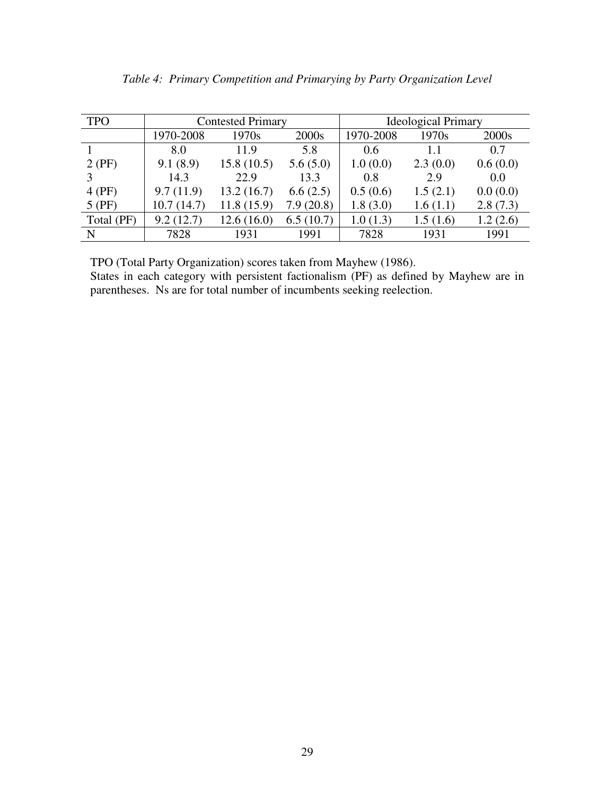|  |  |  | Table 4: Primary Competition and Primarying by Party Organization Level |  |
|--|--|--|-------------------------------------------------------------------------|--|
|  |  |  |                                                                         |  |

| <b>TPO</b>  |            | <b>Contested Primary</b> |           | <b>Ideological Primary</b> |          |          |  |
|-------------|------------|--------------------------|-----------|----------------------------|----------|----------|--|
|             | 1970-2008  | 1970s                    | 2000s     | 1970-2008                  | 1970s    | 2000s    |  |
|             | 8.0        | 11.9                     | 5.8       | 0.6                        | 1.1      | 0.7      |  |
| $2$ (PF)    | 9.1(8.9)   | 15.8(10.5)               | 5.6(5.0)  | 1.0(0.0)                   | 2.3(0.0) | 0.6(0.0) |  |
| 3           | 14.3       | 22.9                     | 13.3      | 0.8                        | 2.9      | 0.0      |  |
| $4$ (PF)    | 9.7(11.9)  | 13.2(16.7)               | 6.6(2.5)  | 0.5(0.6)                   | 1.5(2.1) | 0.0(0.0) |  |
| $5$ (PF)    | 10.7(14.7) | 11.8(15.9)               | 7.9(20.8) | 1.8(3.0)                   | 1.6(1.1) | 2.8(7.3) |  |
| Total (PF)  | 9.2(12.7)  | 12.6(16.0)               | 6.5(10.7) | 1.0(1.3)                   | 1.5(1.6) | 1.2(2.6) |  |
| $\mathbf N$ | 7828       | 1931                     | 1991      | 7828                       | 1931     | 1991     |  |

TPO (Total Party Organization) scores taken from Mayhew (1986).

States in each category with persistent factionalism (PF) as defined by Mayhew are in parentheses. Ns are for total number of incumbents seeking reelection.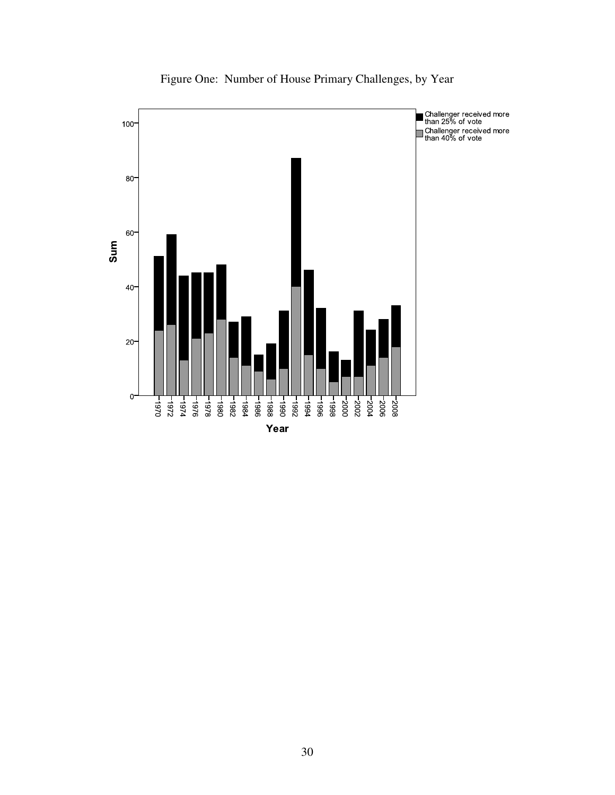

Figure One: Number of House Primary Challenges, by Year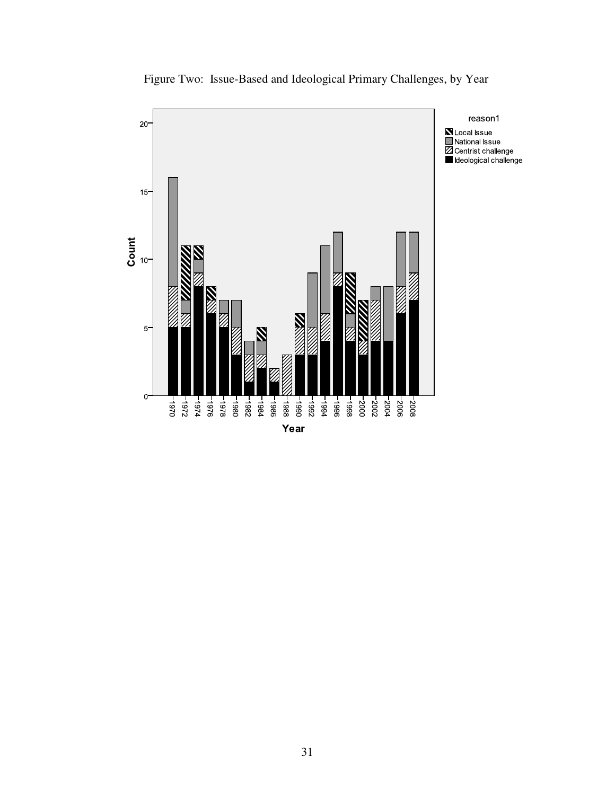

Figure Two: Issue-Based and Ideological Primary Challenges, by Year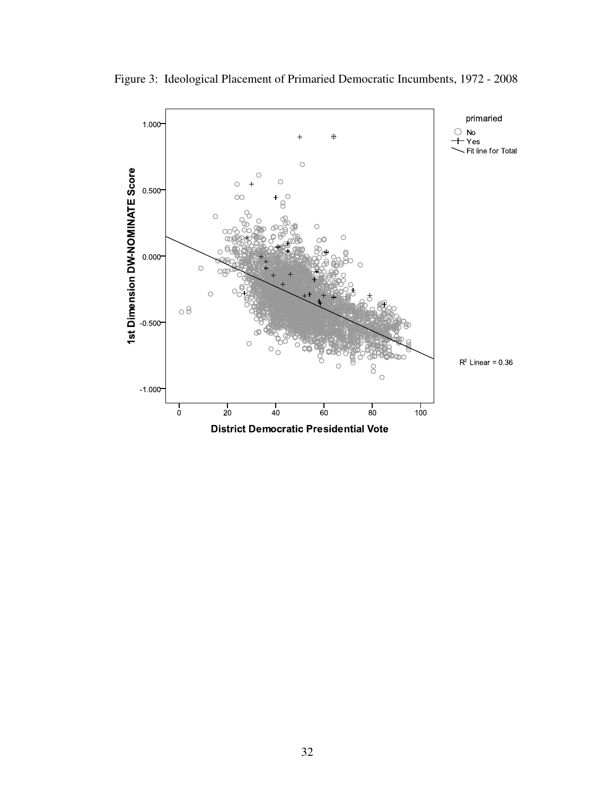

Figure 3: Ideological Placement of Primaried Democratic Incumbents, 1972 - 2008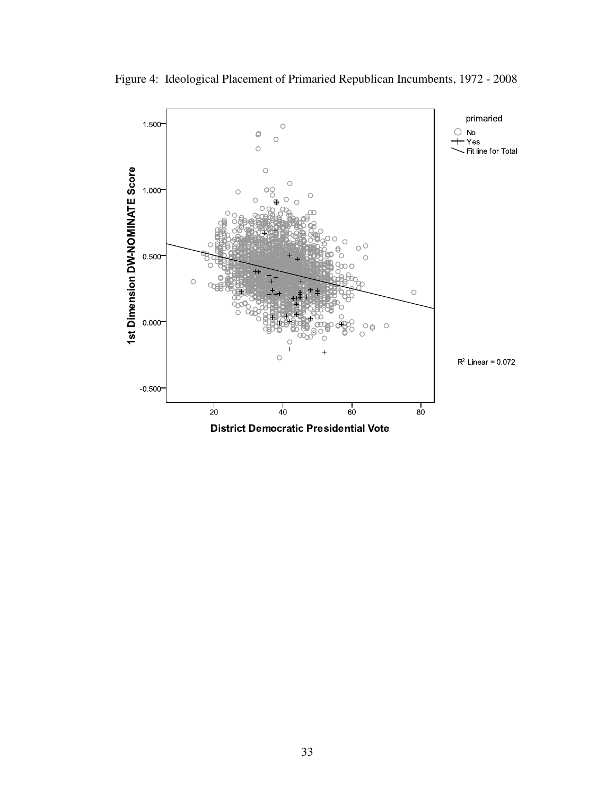

Figure 4: Ideological Placement of Primaried Republican Incumbents, 1972 - 2008